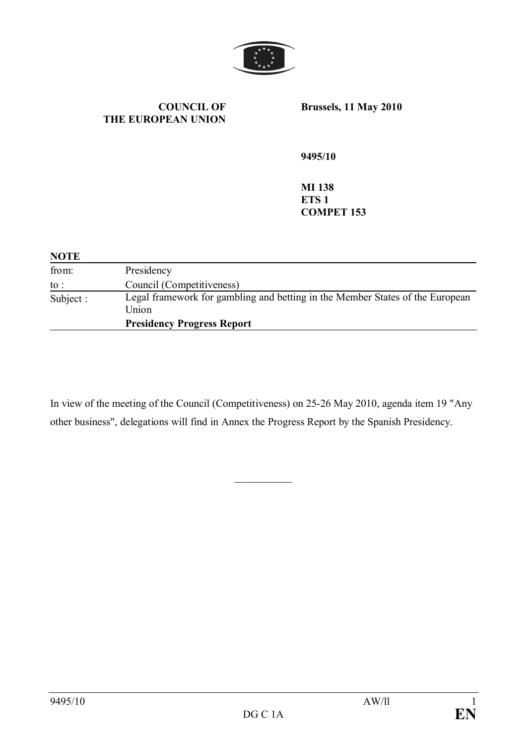

**COUNCIL OF THE EUROPEAN UNION** **Brussels, 11 May 2010**

**9495/10** 

**MI 138 ETS 1 COMPET 153**

| <b>NOTE</b> |                                                                                        |
|-------------|----------------------------------------------------------------------------------------|
| from:       | Presidency                                                                             |
| to :        | Council (Competitiveness)                                                              |
| Subject :   | Legal framework for gambling and betting in the Member States of the European<br>Union |
|             | <b>Presidency Progress Report</b>                                                      |

In view of the meeting of the Council (Competitiveness) on 25-26 May 2010, agenda item 19 "Any other business", delegations will find in Annex the Progress Report by the Spanish Presidency.

 $\frac{1}{2}$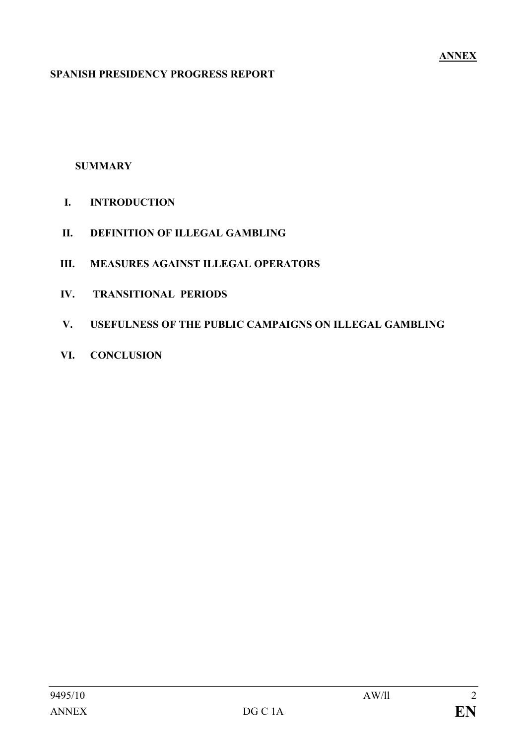#### **SPANISH PRESIDENCY PROGRESS REPORT**

### **SUMMARY**

- **I. INTRODUCTION**
- **II. DEFINITION OF ILLEGAL GAMBLING**
- **III. MEASURES AGAINST ILLEGAL OPERATORS**
- **IV. TRANSITIONAL PERIODS**
- **V. USEFULNESS OF THE PUBLIC CAMPAIGNS ON ILLEGAL GAMBLING**
- **VI. CONCLUSION**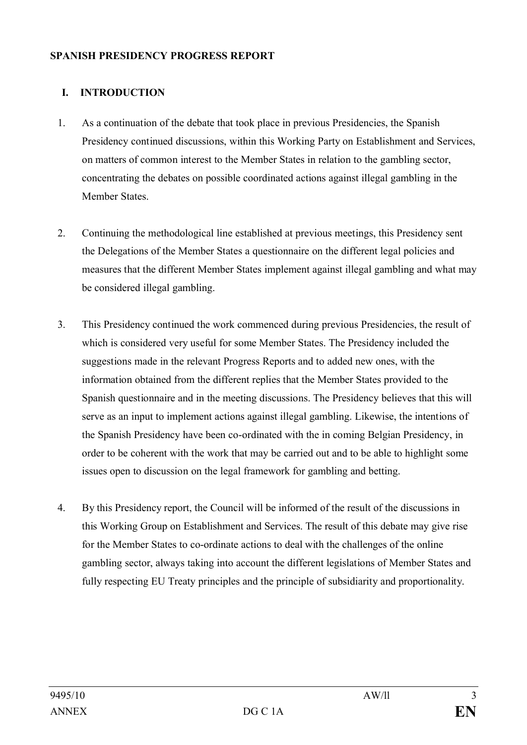#### **SPANISH PRESIDENCY PROGRESS REPORT**

### **I. INTRODUCTION**

- 1. As a continuation of the debate that took place in previous Presidencies, the Spanish Presidency continued discussions, within this Working Party on Establishment and Services, on matters of common interest to the Member States in relation to the gambling sector, concentrating the debates on possible coordinated actions against illegal gambling in the Member States.
- 2. Continuing the methodological line established at previous meetings, this Presidency sent the Delegations of the Member States a questionnaire on the different legal policies and measures that the different Member States implement against illegal gambling and what may be considered illegal gambling.
- 3. This Presidency continued the work commenced during previous Presidencies, the result of which is considered very useful for some Member States. The Presidency included the suggestions made in the relevant Progress Reports and to added new ones, with the information obtained from the different replies that the Member States provided to the Spanish questionnaire and in the meeting discussions. The Presidency believes that this will serve as an input to implement actions against illegal gambling. Likewise, the intentions of the Spanish Presidency have been co-ordinated with the in coming Belgian Presidency, in order to be coherent with the work that may be carried out and to be able to highlight some issues open to discussion on the legal framework for gambling and betting.
- 4. By this Presidency report, the Council will be informed of the result of the discussions in this Working Group on Establishment and Services. The result of this debate may give rise for the Member States to co-ordinate actions to deal with the challenges of the online gambling sector, always taking into account the different legislations of Member States and fully respecting EU Treaty principles and the principle of subsidiarity and proportionality.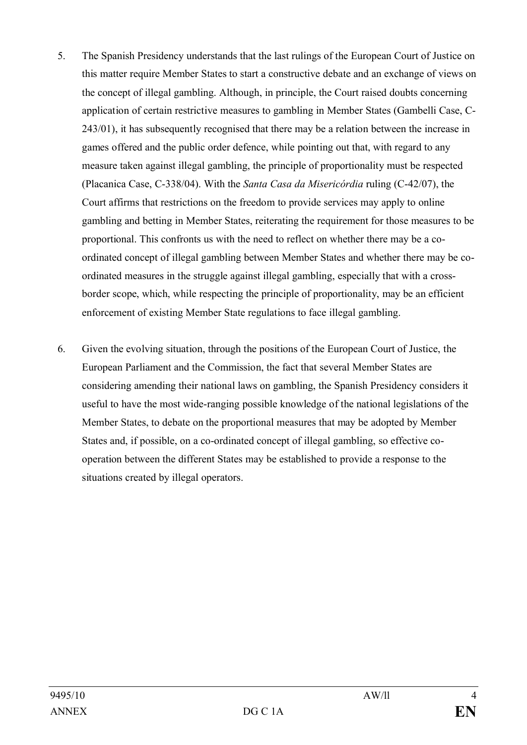- 5. The Spanish Presidency understands that the last rulings of the European Court of Justice on this matter require Member States to start a constructive debate and an exchange of views on the concept of illegal gambling. Although, in principle, the Court raised doubts concerning application of certain restrictive measures to gambling in Member States (Gambelli Case, C-243/01), it has subsequently recognised that there may be a relation between the increase in games offered and the public order defence, while pointing out that, with regard to any measure taken against illegal gambling, the principle of proportionality must be respected (Placanica Case, C-338/04). With the *Santa Casa da Misericórdia* ruling (C-42/07), the Court affirms that restrictions on the freedom to provide services may apply to online gambling and betting in Member States, reiterating the requirement for those measures to be proportional. This confronts us with the need to reflect on whether there may be a coordinated concept of illegal gambling between Member States and whether there may be coordinated measures in the struggle against illegal gambling, especially that with a crossborder scope, which, while respecting the principle of proportionality, may be an efficient enforcement of existing Member State regulations to face illegal gambling.
- 6. Given the evolving situation, through the positions of the European Court of Justice, the European Parliament and the Commission, the fact that several Member States are considering amending their national laws on gambling, the Spanish Presidency considers it useful to have the most wide-ranging possible knowledge of the national legislations of the Member States, to debate on the proportional measures that may be adopted by Member States and, if possible, on a co-ordinated concept of illegal gambling, so effective cooperation between the different States may be established to provide a response to the situations created by illegal operators.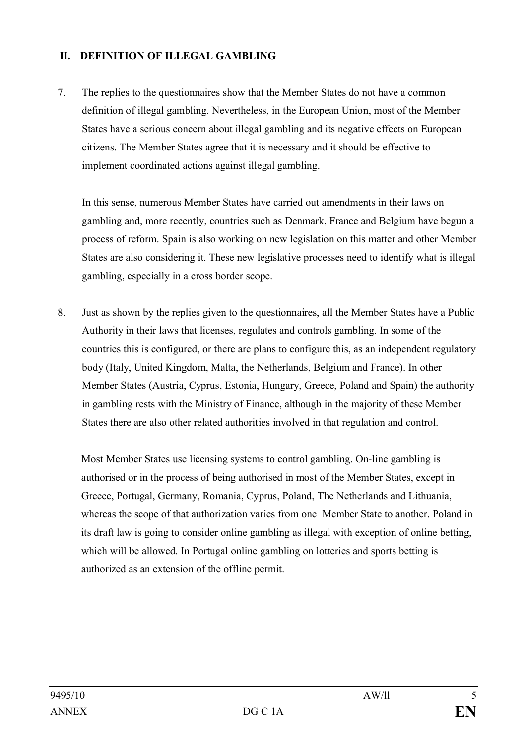### **II. DEFINITION OF ILLEGAL GAMBLING**

7. The replies to the questionnaires show that the Member States do not have a common definition of illegal gambling. Nevertheless, in the European Union, most of the Member States have a serious concern about illegal gambling and its negative effects on European citizens. The Member States agree that it is necessary and it should be effective to implement coordinated actions against illegal gambling.

In this sense, numerous Member States have carried out amendments in their laws on gambling and, more recently, countries such as Denmark, France and Belgium have begun a process of reform. Spain is also working on new legislation on this matter and other Member States are also considering it. These new legislative processes need to identify what is illegal gambling, especially in a cross border scope.

8. Just as shown by the replies given to the questionnaires, all the Member States have a Public Authority in their laws that licenses, regulates and controls gambling. In some of the countries this is configured, or there are plans to configure this, as an independent regulatory body (Italy, United Kingdom, Malta, the Netherlands, Belgium and France). In other Member States (Austria, Cyprus, Estonia, Hungary, Greece, Poland and Spain) the authority in gambling rests with the Ministry of Finance, although in the majority of these Member States there are also other related authorities involved in that regulation and control.

Most Member States use licensing systems to control gambling. On-line gambling is authorised or in the process of being authorised in most of the Member States, except in Greece, Portugal, Germany, Romania, Cyprus, Poland, The Netherlands and Lithuania, whereas the scope of that authorization varies from one Member State to another. Poland in its draft law is going to consider online gambling as illegal with exception of online betting, which will be allowed. In Portugal online gambling on lotteries and sports betting is authorized as an extension of the offline permit.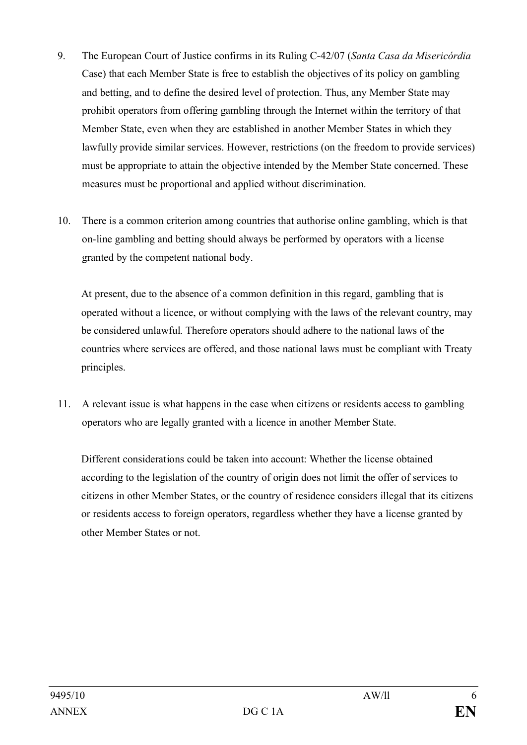- 9. The European Court of Justice confirms in its Ruling C-42/07 (*Santa Casa da Misericórdia* Case) that each Member State is free to establish the objectives of its policy on gambling and betting, and to define the desired level of protection. Thus, any Member State may prohibit operators from offering gambling through the Internet within the territory of that Member State, even when they are established in another Member States in which they lawfully provide similar services. However, restrictions (on the freedom to provide services) must be appropriate to attain the objective intended by the Member State concerned. These measures must be proportional and applied without discrimination.
- 10. There is a common criterion among countries that authorise online gambling, which is that on-line gambling and betting should always be performed by operators with a license granted by the competent national body.

At present, due to the absence of a common definition in this regard, gambling that is operated without a licence, or without complying with the laws of the relevant country, may be considered unlawful. Therefore operators should adhere to the national laws of the countries where services are offered, and those national laws must be compliant with Treaty principles.

11. A relevant issue is what happens in the case when citizens or residents access to gambling operators who are legally granted with a licence in another Member State.

Different considerations could be taken into account: Whether the license obtained according to the legislation of the country of origin does not limit the offer of services to citizens in other Member States, or the country of residence considers illegal that its citizens or residents access to foreign operators, regardless whether they have a license granted by other Member States or not.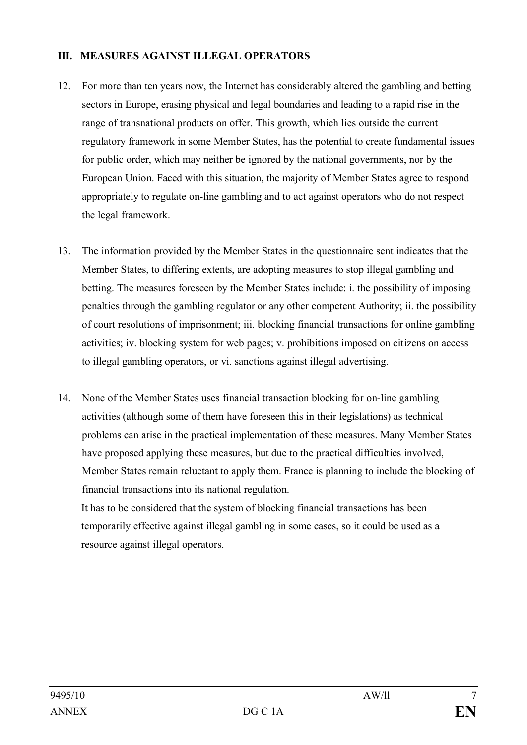#### **III. MEASURES AGAINST ILLEGAL OPERATORS**

- 12. For more than ten years now, the Internet has considerably altered the gambling and betting sectors in Europe, erasing physical and legal boundaries and leading to a rapid rise in the range of transnational products on offer. This growth, which lies outside the current regulatory framework in some Member States, has the potential to create fundamental issues for public order, which may neither be ignored by the national governments, nor by the European Union. Faced with this situation, the majority of Member States agree to respond appropriately to regulate on-line gambling and to act against operators who do not respect the legal framework.
- 13. The information provided by the Member States in the questionnaire sent indicates that the Member States, to differing extents, are adopting measures to stop illegal gambling and betting. The measures foreseen by the Member States include: i. the possibility of imposing penalties through the gambling regulator or any other competent Authority; ii. the possibility of court resolutions of imprisonment; iii. blocking financial transactions for online gambling activities; iv. blocking system for web pages; v. prohibitions imposed on citizens on access to illegal gambling operators, or vi. sanctions against illegal advertising.
- 14. None of the Member States uses financial transaction blocking for on-line gambling activities (although some of them have foreseen this in their legislations) as technical problems can arise in the practical implementation of these measures. Many Member States have proposed applying these measures, but due to the practical difficulties involved, Member States remain reluctant to apply them. France is planning to include the blocking of financial transactions into its national regulation.

It has to be considered that the system of blocking financial transactions has been temporarily effective against illegal gambling in some cases, so it could be used as a resource against illegal operators.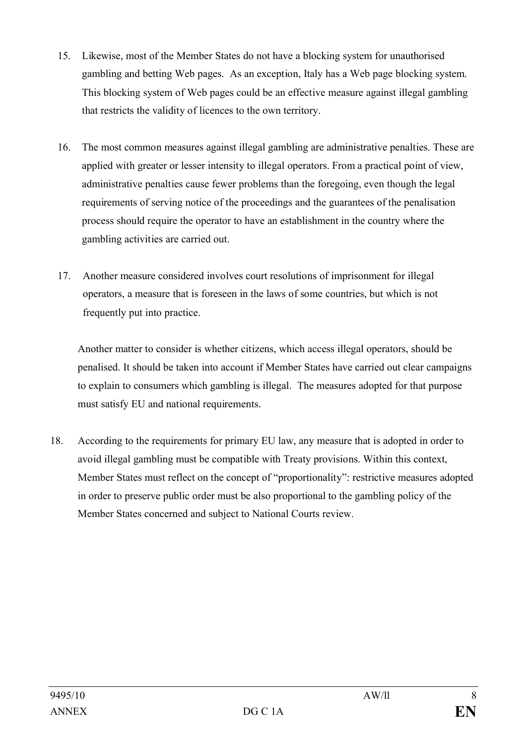- 15. Likewise, most of the Member States do not have a blocking system for unauthorised gambling and betting Web pages. As an exception, Italy has a Web page blocking system. This blocking system of Web pages could be an effective measure against illegal gambling that restricts the validity of licences to the own territory.
- 16. The most common measures against illegal gambling are administrative penalties. These are applied with greater or lesser intensity to illegal operators. From a practical point of view, administrative penalties cause fewer problems than the foregoing, even though the legal requirements of serving notice of the proceedings and the guarantees of the penalisation process should require the operator to have an establishment in the country where the gambling activities are carried out.
- 17. Another measure considered involves court resolutions of imprisonment for illegal operators, a measure that is foreseen in the laws of some countries, but which is not frequently put into practice.

Another matter to consider is whether citizens, which access illegal operators, should be penalised. It should be taken into account if Member States have carried out clear campaigns to explain to consumers which gambling is illegal. The measures adopted for that purpose must satisfy EU and national requirements.

18. According to the requirements for primary EU law, any measure that is adopted in order to avoid illegal gambling must be compatible with Treaty provisions. Within this context, Member States must reflect on the concept of "proportionality": restrictive measures adopted in order to preserve public order must be also proportional to the gambling policy of the Member States concerned and subject to National Courts review.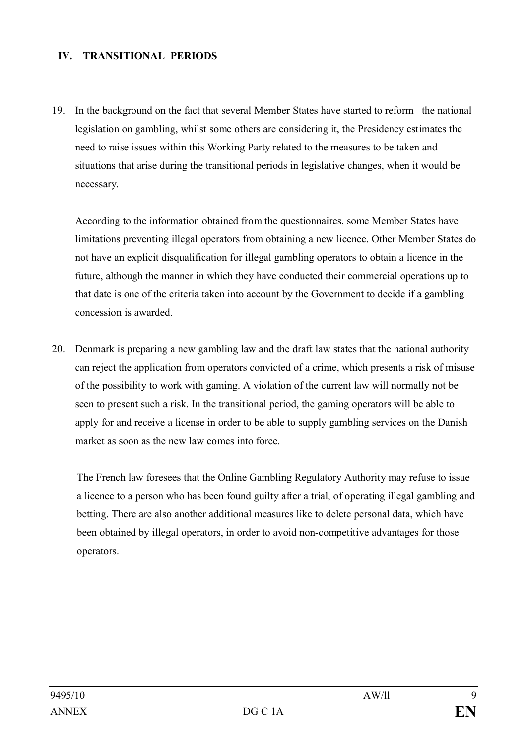#### **IV. TRANSITIONAL PERIODS**

19. In the background on the fact that several Member States have started to reform the national legislation on gambling, whilst some others are considering it, the Presidency estimates the need to raise issues within this Working Party related to the measures to be taken and situations that arise during the transitional periods in legislative changes, when it would be necessary.

According to the information obtained from the questionnaires, some Member States have limitations preventing illegal operators from obtaining a new licence. Other Member States do not have an explicit disqualification for illegal gambling operators to obtain a licence in the future, although the manner in which they have conducted their commercial operations up to that date is one of the criteria taken into account by the Government to decide if a gambling concession is awarded.

20. Denmark is preparing a new gambling law and the draft law states that the national authority can reject the application from operators convicted of a crime, which presents a risk of misuse of the possibility to work with gaming. A violation of the current law will normally not be seen to present such a risk. In the transitional period, the gaming operators will be able to apply for and receive a license in order to be able to supply gambling services on the Danish market as soon as the new law comes into force.

The French law foresees that the Online Gambling Regulatory Authority may refuse to issue a licence to a person who has been found guilty after a trial, of operating illegal gambling and betting. There are also another additional measures like to delete personal data, which have been obtained by illegal operators, in order to avoid non-competitive advantages for those operators.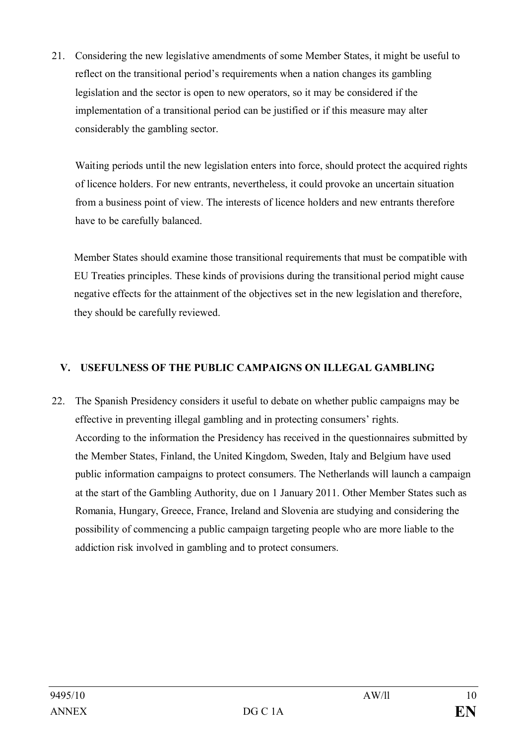21. Considering the new legislative amendments of some Member States, it might be useful to reflect on the transitional period's requirements when a nation changes its gambling legislation and the sector is open to new operators, so it may be considered if the implementation of a transitional period can be justified or if this measure may alter considerably the gambling sector.

Waiting periods until the new legislation enters into force, should protect the acquired rights of licence holders. For new entrants, nevertheless, it could provoke an uncertain situation from a business point of view. The interests of licence holders and new entrants therefore have to be carefully balanced.

Member States should examine those transitional requirements that must be compatible with EU Treaties principles. These kinds of provisions during the transitional period might cause negative effects for the attainment of the objectives set in the new legislation and therefore, they should be carefully reviewed.

## **V. USEFULNESS OF THE PUBLIC CAMPAIGNS ON ILLEGAL GAMBLING**

22. The Spanish Presidency considers it useful to debate on whether public campaigns may be effective in preventing illegal gambling and in protecting consumers' rights. According to the information the Presidency has received in the questionnaires submitted by the Member States, Finland, the United Kingdom, Sweden, Italy and Belgium have used public information campaigns to protect consumers. The Netherlands will launch a campaign at the start of the Gambling Authority, due on 1 January 2011. Other Member States such as Romania, Hungary, Greece, France, Ireland and Slovenia are studying and considering the possibility of commencing a public campaign targeting people who are more liable to the addiction risk involved in gambling and to protect consumers.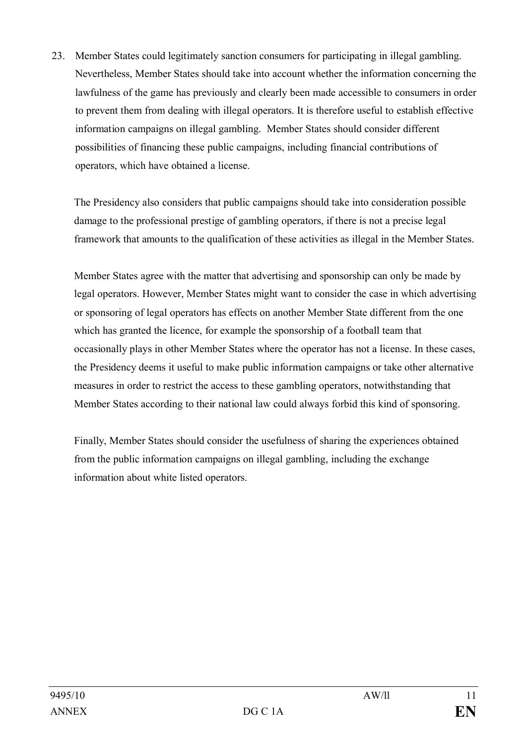23. Member States could legitimately sanction consumers for participating in illegal gambling. Nevertheless, Member States should take into account whether the information concerning the lawfulness of the game has previously and clearly been made accessible to consumers in order to prevent them from dealing with illegal operators. It is therefore useful to establish effective information campaigns on illegal gambling. Member States should consider different possibilities of financing these public campaigns, including financial contributions of operators, which have obtained a license.

The Presidency also considers that public campaigns should take into consideration possible damage to the professional prestige of gambling operators, if there is not a precise legal framework that amounts to the qualification of these activities as illegal in the Member States.

Member States agree with the matter that advertising and sponsorship can only be made by legal operators. However, Member States might want to consider the case in which advertising or sponsoring of legal operators has effects on another Member State different from the one which has granted the licence, for example the sponsorship of a football team that occasionally plays in other Member States where the operator has not a license. In these cases, the Presidency deems it useful to make public information campaigns or take other alternative measures in order to restrict the access to these gambling operators, notwithstanding that Member States according to their national law could always forbid this kind of sponsoring.

Finally, Member States should consider the usefulness of sharing the experiences obtained from the public information campaigns on illegal gambling, including the exchange information about white listed operators.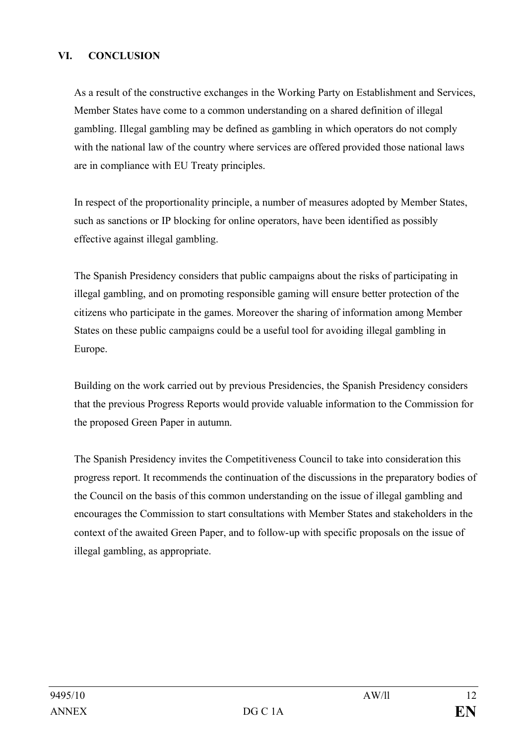### **VI. CONCLUSION**

As a result of the constructive exchanges in the Working Party on Establishment and Services, Member States have come to a common understanding on a shared definition of illegal gambling. Illegal gambling may be defined as gambling in which operators do not comply with the national law of the country where services are offered provided those national laws are in compliance with EU Treaty principles.

In respect of the proportionality principle, a number of measures adopted by Member States, such as sanctions or IP blocking for online operators, have been identified as possibly effective against illegal gambling.

The Spanish Presidency considers that public campaigns about the risks of participating in illegal gambling, and on promoting responsible gaming will ensure better protection of the citizens who participate in the games. Moreover the sharing of information among Member States on these public campaigns could be a useful tool for avoiding illegal gambling in Europe.

Building on the work carried out by previous Presidencies, the Spanish Presidency considers that the previous Progress Reports would provide valuable information to the Commission for the proposed Green Paper in autumn.

The Spanish Presidency invites the Competitiveness Council to take into consideration this progress report. It recommends the continuation of the discussions in the preparatory bodies of the Council on the basis of this common understanding on the issue of illegal gambling and encourages the Commission to start consultations with Member States and stakeholders in the context of the awaited Green Paper, and to follow-up with specific proposals on the issue of illegal gambling, as appropriate.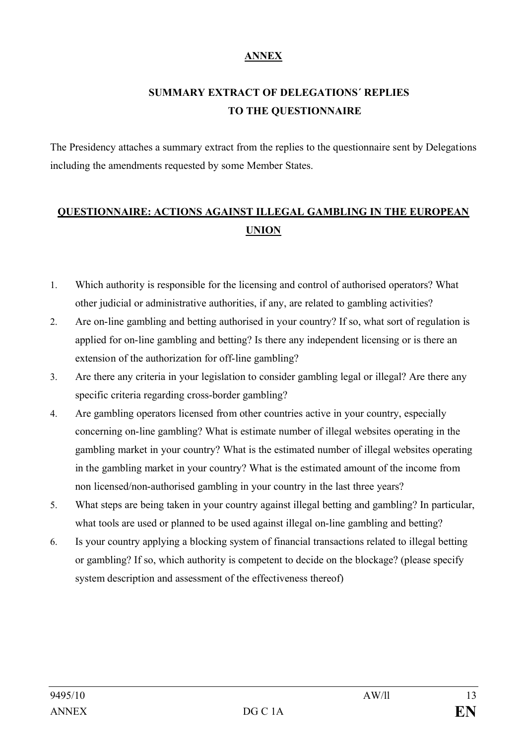## **ANNEX**

# **SUMMARY EXTRACT OF DELEGATIONS´ REPLIES TO THE QUESTIONNAIRE**

The Presidency attaches a summary extract from the replies to the questionnaire sent by Delegations including the amendments requested by some Member States.

# **QUESTIONNAIRE: ACTIONS AGAINST ILLEGAL GAMBLING IN THE EUROPEAN UNION**

- 1. Which authority is responsible for the licensing and control of authorised operators? What other judicial or administrative authorities, if any, are related to gambling activities?
- 2. Are on-line gambling and betting authorised in your country? If so, what sort of regulation is applied for on-line gambling and betting? Is there any independent licensing or is there an extension of the authorization for off-line gambling?
- 3. Are there any criteria in your legislation to consider gambling legal or illegal? Are there any specific criteria regarding cross-border gambling?
- 4. Are gambling operators licensed from other countries active in your country, especially concerning on-line gambling? What is estimate number of illegal websites operating in the gambling market in your country? What is the estimated number of illegal websites operating in the gambling market in your country? What is the estimated amount of the income from non licensed/non-authorised gambling in your country in the last three years?
- 5. What steps are being taken in your country against illegal betting and gambling? In particular, what tools are used or planned to be used against illegal on-line gambling and betting?
- 6. Is your country applying a blocking system of financial transactions related to illegal betting or gambling? If so, which authority is competent to decide on the blockage? (please specify system description and assessment of the effectiveness thereof)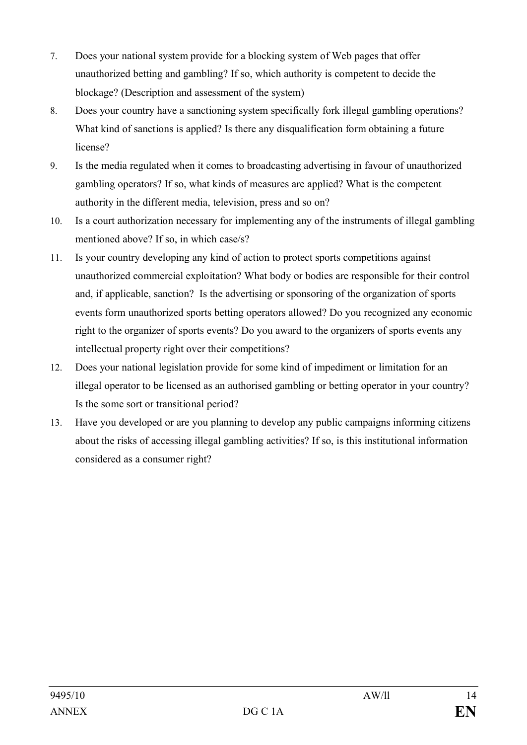- 7. Does your national system provide for a blocking system of Web pages that offer unauthorized betting and gambling? If so, which authority is competent to decide the blockage? (Description and assessment of the system)
- 8. Does your country have a sanctioning system specifically fork illegal gambling operations? What kind of sanctions is applied? Is there any disqualification form obtaining a future license?
- 9. Is the media regulated when it comes to broadcasting advertising in favour of unauthorized gambling operators? If so, what kinds of measures are applied? What is the competent authority in the different media, television, press and so on?
- 10. Is a court authorization necessary for implementing any of the instruments of illegal gambling mentioned above? If so, in which case/s?
- 11. Is your country developing any kind of action to protect sports competitions against unauthorized commercial exploitation? What body or bodies are responsible for their control and, if applicable, sanction? Is the advertising or sponsoring of the organization of sports events form unauthorized sports betting operators allowed? Do you recognized any economic right to the organizer of sports events? Do you award to the organizers of sports events any intellectual property right over their competitions?
- 12. Does your national legislation provide for some kind of impediment or limitation for an illegal operator to be licensed as an authorised gambling or betting operator in your country? Is the some sort or transitional period?
- 13. Have you developed or are you planning to develop any public campaigns informing citizens about the risks of accessing illegal gambling activities? If so, is this institutional information considered as a consumer right?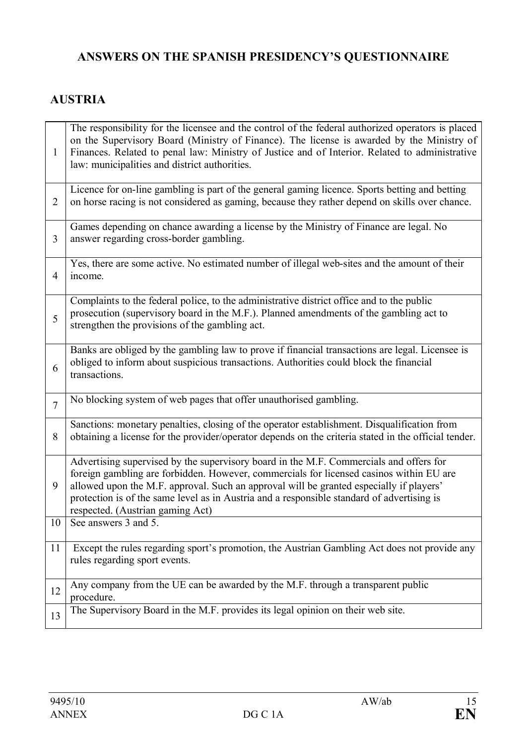# **ANSWERS ON THE SPANISH PRESIDENCY'S QUESTIONNAIRE**

# **AUSTRIA**

| $\mathbf{1}$   | The responsibility for the licensee and the control of the federal authorized operators is placed<br>on the Supervisory Board (Ministry of Finance). The license is awarded by the Ministry of<br>Finances. Related to penal law: Ministry of Justice and of Interior. Related to administrative<br>law: municipalities and district authorities.                                                              |
|----------------|----------------------------------------------------------------------------------------------------------------------------------------------------------------------------------------------------------------------------------------------------------------------------------------------------------------------------------------------------------------------------------------------------------------|
| $\overline{2}$ | Licence for on-line gambling is part of the general gaming licence. Sports betting and betting<br>on horse racing is not considered as gaming, because they rather depend on skills over chance.                                                                                                                                                                                                               |
| $\overline{3}$ | Games depending on chance awarding a license by the Ministry of Finance are legal. No<br>answer regarding cross-border gambling.                                                                                                                                                                                                                                                                               |
| $\overline{4}$ | Yes, there are some active. No estimated number of illegal web-sites and the amount of their<br>income.                                                                                                                                                                                                                                                                                                        |
| 5              | Complaints to the federal police, to the administrative district office and to the public<br>prosecution (supervisory board in the M.F.). Planned amendments of the gambling act to<br>strengthen the provisions of the gambling act.                                                                                                                                                                          |
| 6              | Banks are obliged by the gambling law to prove if financial transactions are legal. Licensee is<br>obliged to inform about suspicious transactions. Authorities could block the financial<br>transactions.                                                                                                                                                                                                     |
| $\overline{7}$ | No blocking system of web pages that offer unauthorised gambling.                                                                                                                                                                                                                                                                                                                                              |
| 8              | Sanctions: monetary penalties, closing of the operator establishment. Disqualification from<br>obtaining a license for the provider/operator depends on the criteria stated in the official tender.                                                                                                                                                                                                            |
| 9              | Advertising supervised by the supervisory board in the M.F. Commercials and offers for<br>foreign gambling are forbidden. However, commercials for licensed casinos within EU are<br>allowed upon the M.F. approval. Such an approval will be granted especially if players'<br>protection is of the same level as in Austria and a responsible standard of advertising is<br>respected. (Austrian gaming Act) |
| 10             | See answers 3 and 5.                                                                                                                                                                                                                                                                                                                                                                                           |
| 11             | Except the rules regarding sport's promotion, the Austrian Gambling Act does not provide any<br>rules regarding sport events.                                                                                                                                                                                                                                                                                  |
| 12             | Any company from the UE can be awarded by the M.F. through a transparent public<br>procedure.                                                                                                                                                                                                                                                                                                                  |
| 13             | The Supervisory Board in the M.F. provides its legal opinion on their web site.                                                                                                                                                                                                                                                                                                                                |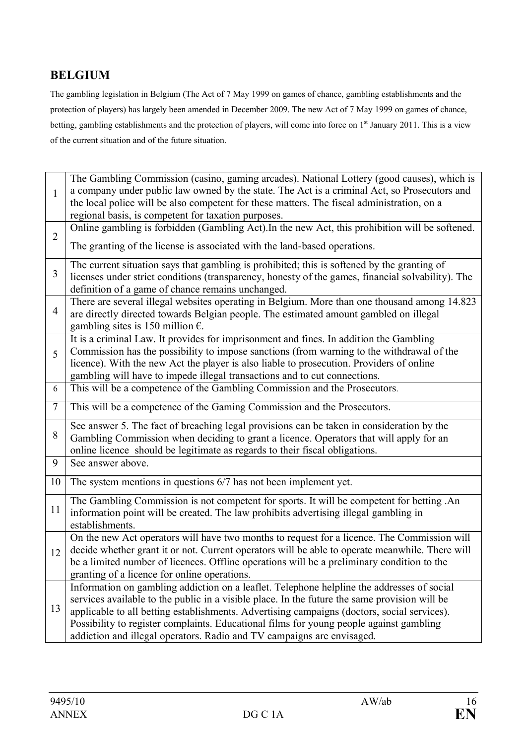# **BELGIUM**

The gambling legislation in Belgium (The Act of 7 May 1999 on games of chance, gambling establishments and the protection of players) has largely been amended in December 2009. The new Act of 7 May 1999 on games of chance, betting, gambling establishments and the protection of players, will come into force on 1<sup>st</sup> January 2011. This is a view of the current situation and of the future situation.

|                | The Gambling Commission (casino, gaming arcades). National Lottery (good causes), which is                                                                                                   |
|----------------|----------------------------------------------------------------------------------------------------------------------------------------------------------------------------------------------|
| $\mathbf{1}$   | a company under public law owned by the state. The Act is a criminal Act, so Prosecutors and                                                                                                 |
|                | the local police will be also competent for these matters. The fiscal administration, on a                                                                                                   |
|                | regional basis, is competent for taxation purposes.                                                                                                                                          |
| $\overline{2}$ | Online gambling is forbidden (Gambling Act). In the new Act, this prohibition will be softened.                                                                                              |
|                | The granting of the license is associated with the land-based operations.                                                                                                                    |
|                | The current situation says that gambling is prohibited; this is softened by the granting of                                                                                                  |
| 3              | licenses under strict conditions (transparency, honesty of the games, financial solvability). The                                                                                            |
|                | definition of a game of chance remains unchanged.                                                                                                                                            |
| $\overline{4}$ | There are several illegal websites operating in Belgium. More than one thousand among 14.823                                                                                                 |
|                | are directly directed towards Belgian people. The estimated amount gambled on illegal                                                                                                        |
|                | gambling sites is 150 million $\epsilon$ .<br>It is a criminal Law. It provides for imprisonment and fines. In addition the Gambling                                                         |
|                | Commission has the possibility to impose sanctions (from warning to the withdrawal of the                                                                                                    |
| 5              | licence). With the new Act the player is also liable to prosecution. Providers of online                                                                                                     |
|                | gambling will have to impede illegal transactions and to cut connections.                                                                                                                    |
| 6              | This will be a competence of the Gambling Commission and the Prosecutors.                                                                                                                    |
| 7              | This will be a competence of the Gaming Commission and the Prosecutors.                                                                                                                      |
|                | See answer 5. The fact of breaching legal provisions can be taken in consideration by the                                                                                                    |
| 8              | Gambling Commission when deciding to grant a licence. Operators that will apply for an                                                                                                       |
|                | online licence should be legitimate as regards to their fiscal obligations.                                                                                                                  |
| 9              | See answer above.                                                                                                                                                                            |
| 10             | The system mentions in questions 6/7 has not been implement yet.                                                                                                                             |
|                | The Gambling Commission is not competent for sports. It will be competent for betting .An                                                                                                    |
| 11             | information point will be created. The law prohibits advertising illegal gambling in                                                                                                         |
|                | establishments.                                                                                                                                                                              |
|                | On the new Act operators will have two months to request for a licence. The Commission will                                                                                                  |
| 12             | decide whether grant it or not. Current operators will be able to operate meanwhile. There will                                                                                              |
|                | be a limited number of licences. Offline operations will be a preliminary condition to the                                                                                                   |
|                | granting of a licence for online operations.                                                                                                                                                 |
|                | Information on gambling addiction on a leaflet. Telephone helpline the addresses of social                                                                                                   |
| 13             | services available to the public in a visible place. In the future the same provision will be<br>applicable to all betting establishments. Advertising campaigns (doctors, social services). |
|                | Possibility to register complaints. Educational films for young people against gambling                                                                                                      |
|                | addiction and illegal operators. Radio and TV campaigns are envisaged.                                                                                                                       |
|                |                                                                                                                                                                                              |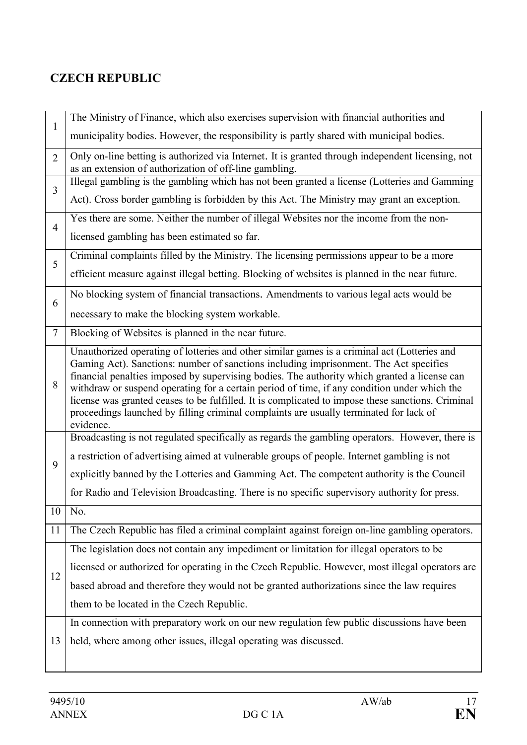# **CZECH REPUBLIC**

| $\mathbf{1}$   | The Ministry of Finance, which also exercises supervision with financial authorities and                                                                                                                                                                                                                                                                                                                                                                                                                                                                                                          |
|----------------|---------------------------------------------------------------------------------------------------------------------------------------------------------------------------------------------------------------------------------------------------------------------------------------------------------------------------------------------------------------------------------------------------------------------------------------------------------------------------------------------------------------------------------------------------------------------------------------------------|
|                | municipality bodies. However, the responsibility is partly shared with municipal bodies.                                                                                                                                                                                                                                                                                                                                                                                                                                                                                                          |
| $\overline{2}$ | Only on-line betting is authorized via Internet. It is granted through independent licensing, not<br>as an extension of authorization of off-line gambling.                                                                                                                                                                                                                                                                                                                                                                                                                                       |
| $\overline{3}$ | Illegal gambling is the gambling which has not been granted a license (Lotteries and Gamming                                                                                                                                                                                                                                                                                                                                                                                                                                                                                                      |
|                | Act). Cross border gambling is forbidden by this Act. The Ministry may grant an exception.                                                                                                                                                                                                                                                                                                                                                                                                                                                                                                        |
| $\overline{4}$ | Yes there are some. Neither the number of illegal Websites nor the income from the non-                                                                                                                                                                                                                                                                                                                                                                                                                                                                                                           |
|                | licensed gambling has been estimated so far.                                                                                                                                                                                                                                                                                                                                                                                                                                                                                                                                                      |
| 5              | Criminal complaints filled by the Ministry. The licensing permissions appear to be a more                                                                                                                                                                                                                                                                                                                                                                                                                                                                                                         |
|                | efficient measure against illegal betting. Blocking of websites is planned in the near future.                                                                                                                                                                                                                                                                                                                                                                                                                                                                                                    |
| 6              | No blocking system of financial transactions. Amendments to various legal acts would be                                                                                                                                                                                                                                                                                                                                                                                                                                                                                                           |
|                | necessary to make the blocking system workable.                                                                                                                                                                                                                                                                                                                                                                                                                                                                                                                                                   |
| $\tau$         | Blocking of Websites is planned in the near future.                                                                                                                                                                                                                                                                                                                                                                                                                                                                                                                                               |
| 8              | Unauthorized operating of lotteries and other similar games is a criminal act (Lotteries and<br>Gaming Act). Sanctions: number of sanctions including imprisonment. The Act specifies<br>financial penalties imposed by supervising bodies. The authority which granted a license can<br>withdraw or suspend operating for a certain period of time, if any condition under which the<br>license was granted ceases to be fulfilled. It is complicated to impose these sanctions. Criminal<br>proceedings launched by filling criminal complaints are usually terminated for lack of<br>evidence. |
|                | Broadcasting is not regulated specifically as regards the gambling operators. However, there is                                                                                                                                                                                                                                                                                                                                                                                                                                                                                                   |
| 9              | a restriction of advertising aimed at vulnerable groups of people. Internet gambling is not                                                                                                                                                                                                                                                                                                                                                                                                                                                                                                       |
|                | explicitly banned by the Lotteries and Gamming Act. The competent authority is the Council                                                                                                                                                                                                                                                                                                                                                                                                                                                                                                        |
|                | for Radio and Television Broadcasting. There is no specific supervisory authority for press.                                                                                                                                                                                                                                                                                                                                                                                                                                                                                                      |
| 10             | No.                                                                                                                                                                                                                                                                                                                                                                                                                                                                                                                                                                                               |
| 11             | The Czech Republic has filed a criminal complaint against foreign on-line gambling operators.                                                                                                                                                                                                                                                                                                                                                                                                                                                                                                     |
|                | The legislation does not contain any impediment or limitation for illegal operators to be                                                                                                                                                                                                                                                                                                                                                                                                                                                                                                         |
| 12             | licensed or authorized for operating in the Czech Republic. However, most illegal operators are                                                                                                                                                                                                                                                                                                                                                                                                                                                                                                   |
|                | based abroad and therefore they would not be granted authorizations since the law requires                                                                                                                                                                                                                                                                                                                                                                                                                                                                                                        |
|                | them to be located in the Czech Republic.                                                                                                                                                                                                                                                                                                                                                                                                                                                                                                                                                         |
|                | In connection with preparatory work on our new regulation few public discussions have been                                                                                                                                                                                                                                                                                                                                                                                                                                                                                                        |
| 13             | held, where among other issues, illegal operating was discussed.                                                                                                                                                                                                                                                                                                                                                                                                                                                                                                                                  |
|                |                                                                                                                                                                                                                                                                                                                                                                                                                                                                                                                                                                                                   |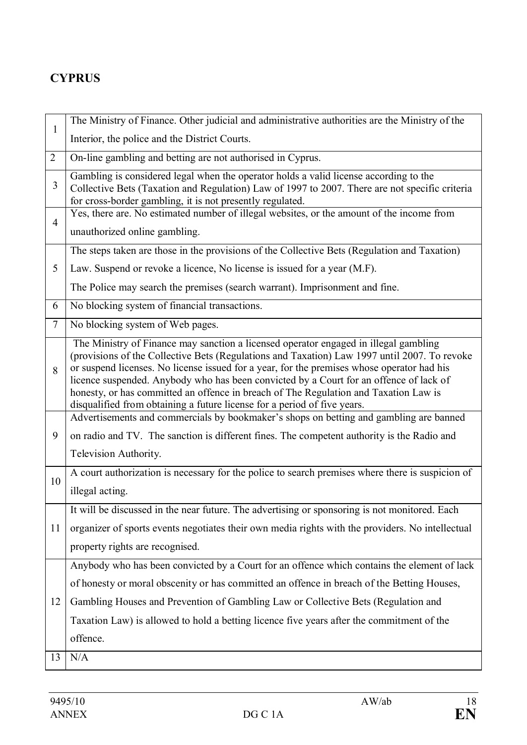# **CYPRUS**

|                | The Ministry of Finance. Other judicial and administrative authorities are the Ministry of the                                                                                                                                                                                                                                                                                                                                                                                                                                                   |
|----------------|--------------------------------------------------------------------------------------------------------------------------------------------------------------------------------------------------------------------------------------------------------------------------------------------------------------------------------------------------------------------------------------------------------------------------------------------------------------------------------------------------------------------------------------------------|
| $\mathbf{1}$   | Interior, the police and the District Courts.                                                                                                                                                                                                                                                                                                                                                                                                                                                                                                    |
| 2              | On-line gambling and betting are not authorised in Cyprus.                                                                                                                                                                                                                                                                                                                                                                                                                                                                                       |
| 3              | Gambling is considered legal when the operator holds a valid license according to the<br>Collective Bets (Taxation and Regulation) Law of 1997 to 2007. There are not specific criteria<br>for cross-border gambling, it is not presently regulated.                                                                                                                                                                                                                                                                                             |
| $\overline{4}$ | Yes, there are. No estimated number of illegal websites, or the amount of the income from                                                                                                                                                                                                                                                                                                                                                                                                                                                        |
|                | unauthorized online gambling.                                                                                                                                                                                                                                                                                                                                                                                                                                                                                                                    |
|                | The steps taken are those in the provisions of the Collective Bets (Regulation and Taxation)                                                                                                                                                                                                                                                                                                                                                                                                                                                     |
| 5              | Law. Suspend or revoke a licence, No license is issued for a year (M.F).                                                                                                                                                                                                                                                                                                                                                                                                                                                                         |
|                | The Police may search the premises (search warrant). Imprisonment and fine.                                                                                                                                                                                                                                                                                                                                                                                                                                                                      |
| 6              | No blocking system of financial transactions.                                                                                                                                                                                                                                                                                                                                                                                                                                                                                                    |
| $\tau$         | No blocking system of Web pages.                                                                                                                                                                                                                                                                                                                                                                                                                                                                                                                 |
| 8              | The Ministry of Finance may sanction a licensed operator engaged in illegal gambling<br>(provisions of the Collective Bets (Regulations and Taxation) Law 1997 until 2007. To revoke<br>or suspend licenses. No license issued for a year, for the premises whose operator had his<br>licence suspended. Anybody who has been convicted by a Court for an offence of lack of<br>honesty, or has committed an offence in breach of The Regulation and Taxation Law is<br>disqualified from obtaining a future license for a period of five years. |
|                | Advertisements and commercials by bookmaker's shops on betting and gambling are banned                                                                                                                                                                                                                                                                                                                                                                                                                                                           |
| 9              | on radio and TV. The sanction is different fines. The competent authority is the Radio and                                                                                                                                                                                                                                                                                                                                                                                                                                                       |
|                | Television Authority.                                                                                                                                                                                                                                                                                                                                                                                                                                                                                                                            |
| 10             | A court authorization is necessary for the police to search premises where there is suspicion of                                                                                                                                                                                                                                                                                                                                                                                                                                                 |
|                | illegal acting.                                                                                                                                                                                                                                                                                                                                                                                                                                                                                                                                  |
|                | It will be discussed in the near future. The advertising or sponsoring is not monitored. Each                                                                                                                                                                                                                                                                                                                                                                                                                                                    |
| 11             | organizer of sports events negotiates their own media rights with the providers. No intellectual                                                                                                                                                                                                                                                                                                                                                                                                                                                 |
|                | property rights are recognised.                                                                                                                                                                                                                                                                                                                                                                                                                                                                                                                  |
|                | Anybody who has been convicted by a Court for an offence which contains the element of lack                                                                                                                                                                                                                                                                                                                                                                                                                                                      |
|                | of honesty or moral obscenity or has committed an offence in breach of the Betting Houses,                                                                                                                                                                                                                                                                                                                                                                                                                                                       |
| 12             | Gambling Houses and Prevention of Gambling Law or Collective Bets (Regulation and                                                                                                                                                                                                                                                                                                                                                                                                                                                                |
|                | Taxation Law) is allowed to hold a betting licence five years after the commitment of the                                                                                                                                                                                                                                                                                                                                                                                                                                                        |
|                | offence.                                                                                                                                                                                                                                                                                                                                                                                                                                                                                                                                         |
| 13             | N/A                                                                                                                                                                                                                                                                                                                                                                                                                                                                                                                                              |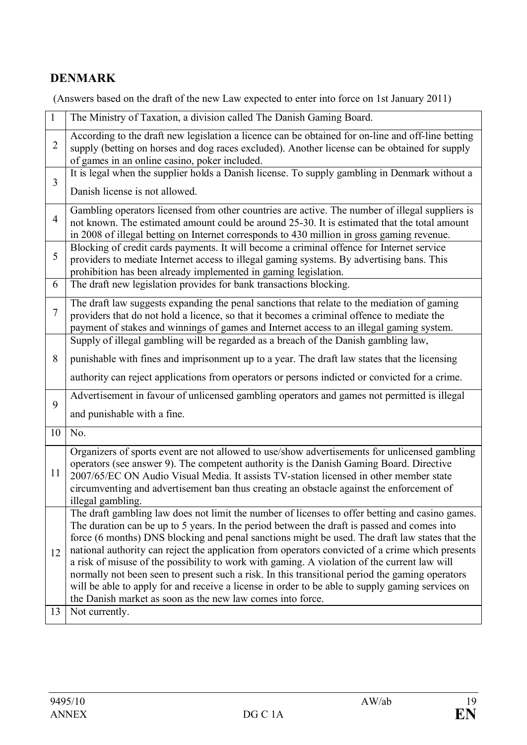# **DENMARK**

(Answers based on the draft of the new Law expected to enter into force on 1st January 2011)

|                | The Ministry of Taxation, a division called The Danish Gaming Board.                                                                                                                                                                                                                                                                                                                                                                                                                                                                                                                                                                                                                                                                                                      |
|----------------|---------------------------------------------------------------------------------------------------------------------------------------------------------------------------------------------------------------------------------------------------------------------------------------------------------------------------------------------------------------------------------------------------------------------------------------------------------------------------------------------------------------------------------------------------------------------------------------------------------------------------------------------------------------------------------------------------------------------------------------------------------------------------|
| $\overline{2}$ | According to the draft new legislation a licence can be obtained for on-line and off-line betting<br>supply (betting on horses and dog races excluded). Another license can be obtained for supply<br>of games in an online casino, poker included.                                                                                                                                                                                                                                                                                                                                                                                                                                                                                                                       |
| 3              | It is legal when the supplier holds a Danish license. To supply gambling in Denmark without a<br>Danish license is not allowed.                                                                                                                                                                                                                                                                                                                                                                                                                                                                                                                                                                                                                                           |
| $\overline{4}$ | Gambling operators licensed from other countries are active. The number of illegal suppliers is<br>not known. The estimated amount could be around 25-30. It is estimated that the total amount<br>in 2008 of illegal betting on Internet corresponds to 430 million in gross gaming revenue.                                                                                                                                                                                                                                                                                                                                                                                                                                                                             |
| 5              | Blocking of credit cards payments. It will become a criminal offence for Internet service<br>providers to mediate Internet access to illegal gaming systems. By advertising bans. This<br>prohibition has been already implemented in gaming legislation.                                                                                                                                                                                                                                                                                                                                                                                                                                                                                                                 |
| 6              | The draft new legislation provides for bank transactions blocking.                                                                                                                                                                                                                                                                                                                                                                                                                                                                                                                                                                                                                                                                                                        |
| 7              | The draft law suggests expanding the penal sanctions that relate to the mediation of gaming<br>providers that do not hold a licence, so that it becomes a criminal offence to mediate the<br>payment of stakes and winnings of games and Internet access to an illegal gaming system.                                                                                                                                                                                                                                                                                                                                                                                                                                                                                     |
|                | Supply of illegal gambling will be regarded as a breach of the Danish gambling law,                                                                                                                                                                                                                                                                                                                                                                                                                                                                                                                                                                                                                                                                                       |
| 8              | punishable with fines and imprisonment up to a year. The draft law states that the licensing                                                                                                                                                                                                                                                                                                                                                                                                                                                                                                                                                                                                                                                                              |
|                | authority can reject applications from operators or persons indicted or convicted for a crime.                                                                                                                                                                                                                                                                                                                                                                                                                                                                                                                                                                                                                                                                            |
| 9              | Advertisement in favour of unlicensed gambling operators and games not permitted is illegal<br>and punishable with a fine.                                                                                                                                                                                                                                                                                                                                                                                                                                                                                                                                                                                                                                                |
| 10             | No.                                                                                                                                                                                                                                                                                                                                                                                                                                                                                                                                                                                                                                                                                                                                                                       |
| 11             | Organizers of sports event are not allowed to use/show advertisements for unlicensed gambling<br>operators (see answer 9). The competent authority is the Danish Gaming Board. Directive<br>2007/65/EC ON Audio Visual Media. It assists TV-station licensed in other member state<br>circumventing and advertisement ban thus creating an obstacle against the enforcement of<br>illegal gambling.                                                                                                                                                                                                                                                                                                                                                                       |
| 12             | The draft gambling law does not limit the number of licenses to offer betting and casino games.<br>The duration can be up to 5 years. In the period between the draft is passed and comes into<br>force (6 months) DNS blocking and penal sanctions might be used. The draft law states that the<br>national authority can reject the application from operators convicted of a crime which presents<br>a risk of misuse of the possibility to work with gaming. A violation of the current law will<br>normally not been seen to present such a risk. In this transitional period the gaming operators<br>will be able to apply for and receive a license in order to be able to supply gaming services on<br>the Danish market as soon as the new law comes into force. |
| 13             | Not currently.                                                                                                                                                                                                                                                                                                                                                                                                                                                                                                                                                                                                                                                                                                                                                            |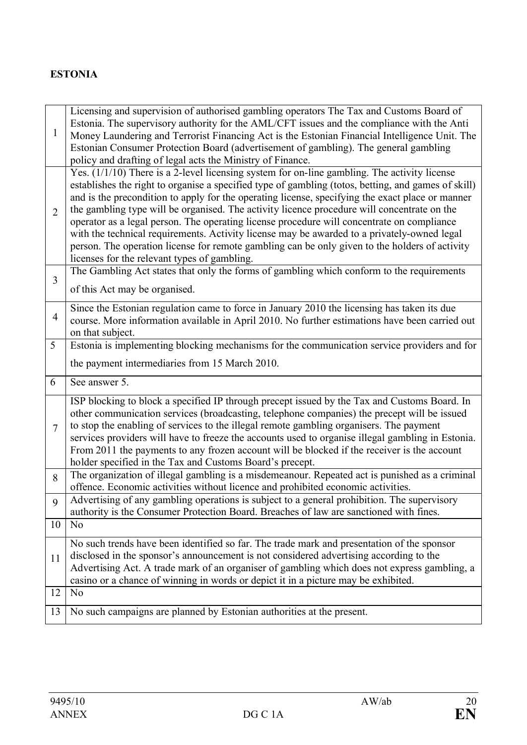# **ESTONIA**

| 1              | Licensing and supervision of authorised gambling operators The Tax and Customs Board of<br>Estonia. The supervisory authority for the AML/CFT issues and the compliance with the Anti<br>Money Laundering and Terrorist Financing Act is the Estonian Financial Intelligence Unit. The                                                                                                                                                                                                                                                                                                                                                                                                                                                                |
|----------------|-------------------------------------------------------------------------------------------------------------------------------------------------------------------------------------------------------------------------------------------------------------------------------------------------------------------------------------------------------------------------------------------------------------------------------------------------------------------------------------------------------------------------------------------------------------------------------------------------------------------------------------------------------------------------------------------------------------------------------------------------------|
|                | Estonian Consumer Protection Board (advertisement of gambling). The general gambling<br>policy and drafting of legal acts the Ministry of Finance.                                                                                                                                                                                                                                                                                                                                                                                                                                                                                                                                                                                                    |
| $\overline{2}$ | Yes. (1/1/10) There is a 2-level licensing system for on-line gambling. The activity license<br>establishes the right to organise a specified type of gambling (totos, betting, and games of skill)<br>and is the precondition to apply for the operating license, specifying the exact place or manner<br>the gambling type will be organised. The activity licence procedure will concentrate on the<br>operator as a legal person. The operating license procedure will concentrate on compliance<br>with the technical requirements. Activity license may be awarded to a privately-owned legal<br>person. The operation license for remote gambling can be only given to the holders of activity<br>licenses for the relevant types of gambling. |
| $\overline{3}$ | The Gambling Act states that only the forms of gambling which conform to the requirements<br>of this Act may be organised.                                                                                                                                                                                                                                                                                                                                                                                                                                                                                                                                                                                                                            |
| $\overline{4}$ | Since the Estonian regulation came to force in January 2010 the licensing has taken its due<br>course. More information available in April 2010. No further estimations have been carried out<br>on that subject.                                                                                                                                                                                                                                                                                                                                                                                                                                                                                                                                     |
| 5              | Estonia is implementing blocking mechanisms for the communication service providers and for                                                                                                                                                                                                                                                                                                                                                                                                                                                                                                                                                                                                                                                           |
|                | the payment intermediaries from 15 March 2010.                                                                                                                                                                                                                                                                                                                                                                                                                                                                                                                                                                                                                                                                                                        |
| 6              | See answer 5.                                                                                                                                                                                                                                                                                                                                                                                                                                                                                                                                                                                                                                                                                                                                         |
| $\overline{7}$ | ISP blocking to block a specified IP through precept issued by the Tax and Customs Board. In<br>other communication services (broadcasting, telephone companies) the precept will be issued<br>to stop the enabling of services to the illegal remote gambling organisers. The payment<br>services providers will have to freeze the accounts used to organise illegal gambling in Estonia.<br>From 2011 the payments to any frozen account will be blocked if the receiver is the account<br>holder specified in the Tax and Customs Board's precept.                                                                                                                                                                                                |
| 8              | The organization of illegal gambling is a misdemeanour. Repeated act is punished as a criminal<br>offence. Economic activities without licence and prohibited economic activities.                                                                                                                                                                                                                                                                                                                                                                                                                                                                                                                                                                    |
| 9              | Advertising of any gambling operations is subject to a general prohibition. The supervisory<br>authority is the Consumer Protection Board. Breaches of law are sanctioned with fines.                                                                                                                                                                                                                                                                                                                                                                                                                                                                                                                                                                 |
| 10             | N <sub>0</sub>                                                                                                                                                                                                                                                                                                                                                                                                                                                                                                                                                                                                                                                                                                                                        |
| 11             | No such trends have been identified so far. The trade mark and presentation of the sponsor<br>disclosed in the sponsor's announcement is not considered advertising according to the<br>Advertising Act. A trade mark of an organiser of gambling which does not express gambling, a<br>casino or a chance of winning in words or depict it in a picture may be exhibited.                                                                                                                                                                                                                                                                                                                                                                            |
| 12             | N <sub>o</sub>                                                                                                                                                                                                                                                                                                                                                                                                                                                                                                                                                                                                                                                                                                                                        |
| 13             | No such campaigns are planned by Estonian authorities at the present.                                                                                                                                                                                                                                                                                                                                                                                                                                                                                                                                                                                                                                                                                 |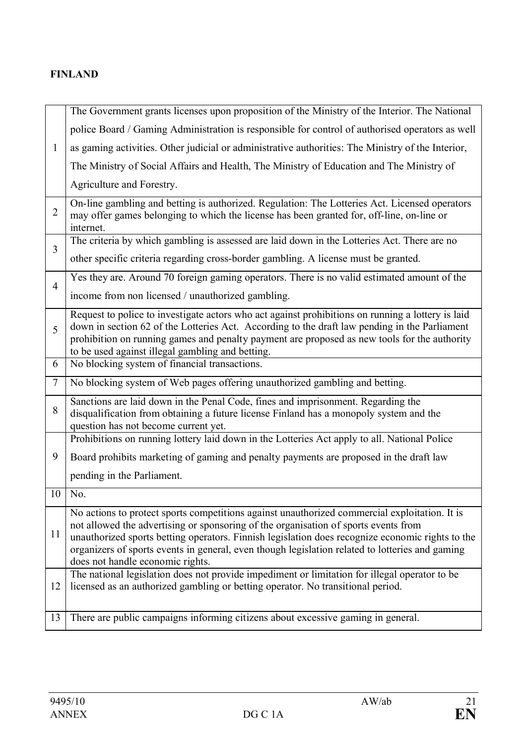#### **FINLAND**

|                | The Government grants licenses upon proposition of the Ministry of the Interior. The National                                                                                                                                                                                                                                                                                                                                   |
|----------------|---------------------------------------------------------------------------------------------------------------------------------------------------------------------------------------------------------------------------------------------------------------------------------------------------------------------------------------------------------------------------------------------------------------------------------|
|                | police Board / Gaming Administration is responsible for control of authorised operators as well                                                                                                                                                                                                                                                                                                                                 |
| 1              | as gaming activities. Other judicial or administrative authorities: The Ministry of the Interior,                                                                                                                                                                                                                                                                                                                               |
|                | The Ministry of Social Affairs and Health, The Ministry of Education and The Ministry of                                                                                                                                                                                                                                                                                                                                        |
|                | Agriculture and Forestry.                                                                                                                                                                                                                                                                                                                                                                                                       |
| $\overline{2}$ | On-line gambling and betting is authorized. Regulation: The Lotteries Act. Licensed operators<br>may offer games belonging to which the license has been granted for, off-line, on-line or<br>internet.                                                                                                                                                                                                                         |
| $\overline{3}$ | The criteria by which gambling is assessed are laid down in the Lotteries Act. There are no                                                                                                                                                                                                                                                                                                                                     |
|                | other specific criteria regarding cross-border gambling. A license must be granted.                                                                                                                                                                                                                                                                                                                                             |
| $\overline{4}$ | Yes they are. Around 70 foreign gaming operators. There is no valid estimated amount of the                                                                                                                                                                                                                                                                                                                                     |
|                | income from non licensed / unauthorized gambling.                                                                                                                                                                                                                                                                                                                                                                               |
| 5              | Request to police to investigate actors who act against prohibitions on running a lottery is laid<br>down in section 62 of the Lotteries Act. According to the draft law pending in the Parliament<br>prohibition on running games and penalty payment are proposed as new tools for the authority<br>to be used against illegal gambling and betting.                                                                          |
| 6              | No blocking system of financial transactions.                                                                                                                                                                                                                                                                                                                                                                                   |
| $\overline{7}$ | No blocking system of Web pages offering unauthorized gambling and betting.                                                                                                                                                                                                                                                                                                                                                     |
| 8              | Sanctions are laid down in the Penal Code, fines and imprisonment. Regarding the<br>disqualification from obtaining a future license Finland has a monopoly system and the<br>question has not become current yet.                                                                                                                                                                                                              |
|                | Prohibitions on running lottery laid down in the Lotteries Act apply to all. National Police                                                                                                                                                                                                                                                                                                                                    |
| 9              | Board prohibits marketing of gaming and penalty payments are proposed in the draft law                                                                                                                                                                                                                                                                                                                                          |
|                | pending in the Parliament.                                                                                                                                                                                                                                                                                                                                                                                                      |
| 10             | No.                                                                                                                                                                                                                                                                                                                                                                                                                             |
| 11             | No actions to protect sports competitions against unauthorized commercial exploitation. It is<br>not allowed the advertising or sponsoring of the organisation of sports events from<br>unauthorized sports betting operators. Finnish legislation does recognize economic rights to the<br>organizers of sports events in general, even though legislation related to lotteries and gaming<br>does not handle economic rights. |
| 12             | The national legislation does not provide impediment or limitation for illegal operator to be<br>licensed as an authorized gambling or betting operator. No transitional period.                                                                                                                                                                                                                                                |
| 13             | There are public campaigns informing citizens about excessive gaming in general.                                                                                                                                                                                                                                                                                                                                                |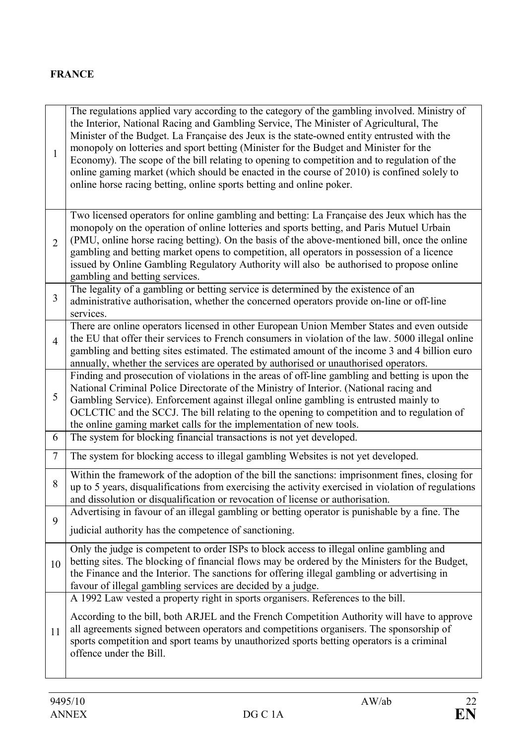## **FRANCE**

| $\mathbf{1}$   | The regulations applied vary according to the category of the gambling involved. Ministry of<br>the Interior, National Racing and Gambling Service, The Minister of Agricultural, The<br>Minister of the Budget. La Française des Jeux is the state-owned entity entrusted with the<br>monopoly on lotteries and sport betting (Minister for the Budget and Minister for the<br>Economy). The scope of the bill relating to opening to competition and to regulation of the<br>online gaming market (which should be enacted in the course of 2010) is confined solely to<br>online horse racing betting, online sports betting and online poker. |
|----------------|---------------------------------------------------------------------------------------------------------------------------------------------------------------------------------------------------------------------------------------------------------------------------------------------------------------------------------------------------------------------------------------------------------------------------------------------------------------------------------------------------------------------------------------------------------------------------------------------------------------------------------------------------|
| $\overline{2}$ | Two licensed operators for online gambling and betting: La Française des Jeux which has the<br>monopoly on the operation of online lotteries and sports betting, and Paris Mutuel Urbain<br>(PMU, online horse racing betting). On the basis of the above-mentioned bill, once the online<br>gambling and betting market opens to competition, all operators in possession of a licence<br>issued by Online Gambling Regulatory Authority will also be authorised to propose online<br>gambling and betting services.                                                                                                                             |
| 3              | The legality of a gambling or betting service is determined by the existence of an<br>administrative authorisation, whether the concerned operators provide on-line or off-line<br>services.                                                                                                                                                                                                                                                                                                                                                                                                                                                      |
| $\overline{4}$ | There are online operators licensed in other European Union Member States and even outside<br>the EU that offer their services to French consumers in violation of the law. 5000 illegal online<br>gambling and betting sites estimated. The estimated amount of the income 3 and 4 billion euro<br>annually, whether the services are operated by authorised or unauthorised operators.                                                                                                                                                                                                                                                          |
| 5              | Finding and prosecution of violations in the areas of off-line gambling and betting is upon the<br>National Criminal Police Directorate of the Ministry of Interior. (National racing and<br>Gambling Service). Enforcement against illegal online gambling is entrusted mainly to<br>OCLCTIC and the SCCJ. The bill relating to the opening to competition and to regulation of<br>the online gaming market calls for the implementation of new tools.                                                                                                                                                                                           |
| 6              | The system for blocking financial transactions is not yet developed.                                                                                                                                                                                                                                                                                                                                                                                                                                                                                                                                                                              |
| $\tau$         | The system for blocking access to illegal gambling Websites is not yet developed.                                                                                                                                                                                                                                                                                                                                                                                                                                                                                                                                                                 |
| 8              | Within the framework of the adoption of the bill the sanctions: imprisonment fines, closing for<br>up to 5 years, disqualifications from exercising the activity exercised in violation of regulations<br>and dissolution or disqualification or revocation of license or authorisation.                                                                                                                                                                                                                                                                                                                                                          |
| 9              | Advertising in favour of an illegal gambling or betting operator is punishable by a fine. The<br>judicial authority has the competence of sanctioning.                                                                                                                                                                                                                                                                                                                                                                                                                                                                                            |
| 10             | Only the judge is competent to order ISPs to block access to illegal online gambling and<br>betting sites. The blocking of financial flows may be ordered by the Ministers for the Budget,<br>the Finance and the Interior. The sanctions for offering illegal gambling or advertising in<br>favour of illegal gambling services are decided by a judge.                                                                                                                                                                                                                                                                                          |
| 11             | A 1992 Law vested a property right in sports organisers. References to the bill.<br>According to the bill, both ARJEL and the French Competition Authority will have to approve<br>all agreements signed between operators and competitions organisers. The sponsorship of<br>sports competition and sport teams by unauthorized sports betting operators is a criminal<br>offence under the Bill.                                                                                                                                                                                                                                                |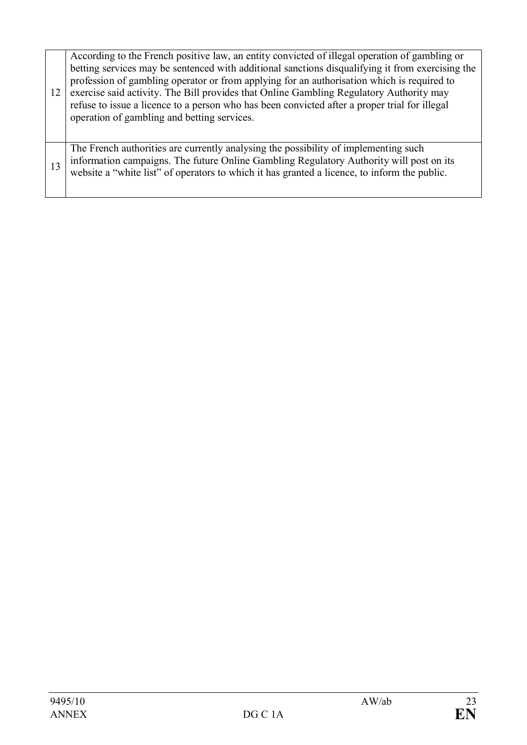| 12 | According to the French positive law, an entity convicted of illegal operation of gambling or<br>betting services may be sentenced with additional sanctions disqualifying it from exercising the<br>profession of gambling operator or from applying for an authorisation which is required to<br>exercise said activity. The Bill provides that Online Gambling Regulatory Authority may<br>refuse to issue a licence to a person who has been convicted after a proper trial for illegal<br>operation of gambling and betting services. |
|----|--------------------------------------------------------------------------------------------------------------------------------------------------------------------------------------------------------------------------------------------------------------------------------------------------------------------------------------------------------------------------------------------------------------------------------------------------------------------------------------------------------------------------------------------|
| 13 | The French authorities are currently analysing the possibility of implementing such<br>information campaigns. The future Online Gambling Regulatory Authority will post on its<br>website a "white list" of operators to which it has granted a licence, to inform the public.                                                                                                                                                                                                                                                             |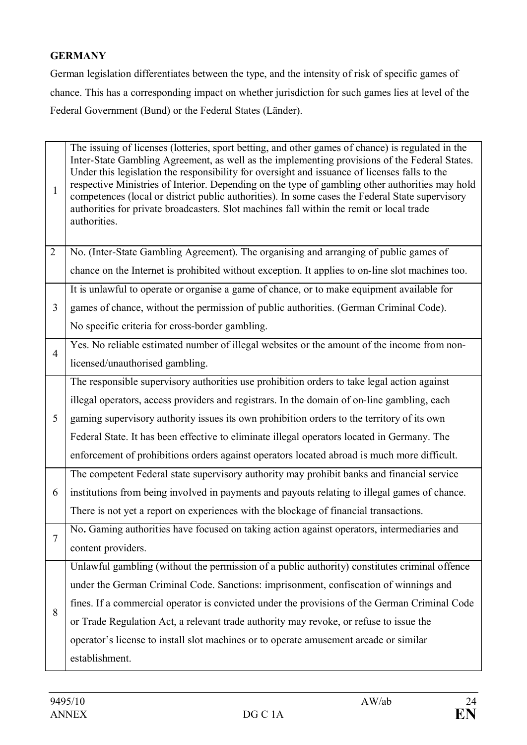## **GERMANY**

German legislation differentiates between the type, and the intensity of risk of specific games of chance. This has a corresponding impact on whether jurisdiction for such games lies at level of the Federal Government (Bund) or the Federal States (Länder).

| $\mathbf{1}$   | The issuing of licenses (lotteries, sport betting, and other games of chance) is regulated in the<br>Inter-State Gambling Agreement, as well as the implementing provisions of the Federal States.<br>Under this legislation the responsibility for oversight and issuance of licenses falls to the<br>respective Ministries of Interior. Depending on the type of gambling other authorities may hold<br>competences (local or district public authorities). In some cases the Federal State supervisory<br>authorities for private broadcasters. Slot machines fall within the remit or local trade<br>authorities. |
|----------------|-----------------------------------------------------------------------------------------------------------------------------------------------------------------------------------------------------------------------------------------------------------------------------------------------------------------------------------------------------------------------------------------------------------------------------------------------------------------------------------------------------------------------------------------------------------------------------------------------------------------------|
| $\overline{2}$ | No. (Inter-State Gambling Agreement). The organising and arranging of public games of                                                                                                                                                                                                                                                                                                                                                                                                                                                                                                                                 |
|                | chance on the Internet is prohibited without exception. It applies to on-line slot machines too.                                                                                                                                                                                                                                                                                                                                                                                                                                                                                                                      |
|                | It is unlawful to operate or organise a game of chance, or to make equipment available for                                                                                                                                                                                                                                                                                                                                                                                                                                                                                                                            |
| $\overline{3}$ | games of chance, without the permission of public authorities. (German Criminal Code).                                                                                                                                                                                                                                                                                                                                                                                                                                                                                                                                |
|                | No specific criteria for cross-border gambling.                                                                                                                                                                                                                                                                                                                                                                                                                                                                                                                                                                       |
| $\overline{4}$ | Yes. No reliable estimated number of illegal websites or the amount of the income from non-                                                                                                                                                                                                                                                                                                                                                                                                                                                                                                                           |
|                | licensed/unauthorised gambling.                                                                                                                                                                                                                                                                                                                                                                                                                                                                                                                                                                                       |
|                | The responsible supervisory authorities use prohibition orders to take legal action against                                                                                                                                                                                                                                                                                                                                                                                                                                                                                                                           |
|                | illegal operators, access providers and registrars. In the domain of on-line gambling, each                                                                                                                                                                                                                                                                                                                                                                                                                                                                                                                           |
| 5              | gaming supervisory authority issues its own prohibition orders to the territory of its own                                                                                                                                                                                                                                                                                                                                                                                                                                                                                                                            |
|                | Federal State. It has been effective to eliminate illegal operators located in Germany. The                                                                                                                                                                                                                                                                                                                                                                                                                                                                                                                           |
|                | enforcement of prohibitions orders against operators located abroad is much more difficult.                                                                                                                                                                                                                                                                                                                                                                                                                                                                                                                           |
|                | The competent Federal state supervisory authority may prohibit banks and financial service                                                                                                                                                                                                                                                                                                                                                                                                                                                                                                                            |
| 6              | institutions from being involved in payments and payouts relating to illegal games of chance.                                                                                                                                                                                                                                                                                                                                                                                                                                                                                                                         |
|                | There is not yet a report on experiences with the blockage of financial transactions.                                                                                                                                                                                                                                                                                                                                                                                                                                                                                                                                 |
|                | No. Gaming authorities have focused on taking action against operators, intermediaries and                                                                                                                                                                                                                                                                                                                                                                                                                                                                                                                            |
|                | content providers.                                                                                                                                                                                                                                                                                                                                                                                                                                                                                                                                                                                                    |
|                | Unlawful gambling (without the permission of a public authority) constitutes criminal offence                                                                                                                                                                                                                                                                                                                                                                                                                                                                                                                         |
|                | under the German Criminal Code. Sanctions: imprisonment, confiscation of winnings and                                                                                                                                                                                                                                                                                                                                                                                                                                                                                                                                 |
| 8              | fines. If a commercial operator is convicted under the provisions of the German Criminal Code                                                                                                                                                                                                                                                                                                                                                                                                                                                                                                                         |
|                | or Trade Regulation Act, a relevant trade authority may revoke, or refuse to issue the                                                                                                                                                                                                                                                                                                                                                                                                                                                                                                                                |
|                | operator's license to install slot machines or to operate amusement arcade or similar                                                                                                                                                                                                                                                                                                                                                                                                                                                                                                                                 |
|                | establishment.                                                                                                                                                                                                                                                                                                                                                                                                                                                                                                                                                                                                        |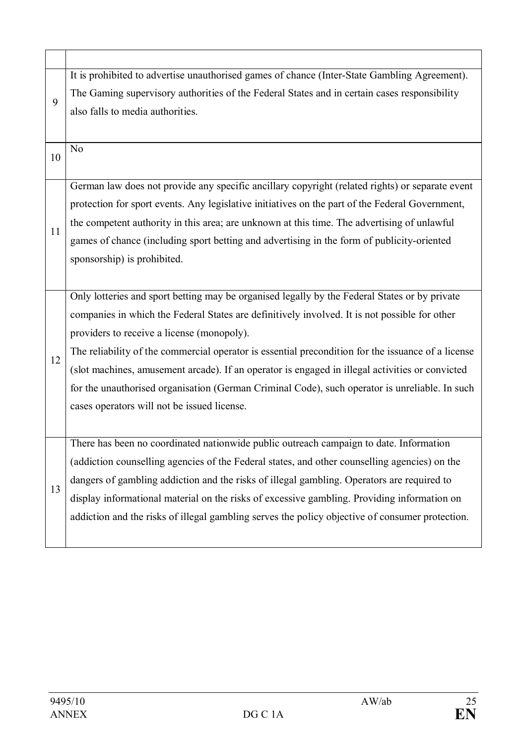| 9  | It is prohibited to advertise unauthorised games of chance (Inter-State Gambling Agreement).       |
|----|----------------------------------------------------------------------------------------------------|
|    | The Gaming supervisory authorities of the Federal States and in certain cases responsibility       |
|    | also falls to media authorities.                                                                   |
|    |                                                                                                    |
| 10 | N <sub>o</sub>                                                                                     |
|    |                                                                                                    |
|    | German law does not provide any specific ancillary copyright (related rights) or separate event    |
|    | protection for sport events. Any legislative initiatives on the part of the Federal Government,    |
| 11 | the competent authority in this area; are unknown at this time. The advertising of unlawful        |
|    | games of chance (including sport betting and advertising in the form of publicity-oriented         |
|    | sponsorship) is prohibited.                                                                        |
|    |                                                                                                    |
|    | Only lotteries and sport betting may be organised legally by the Federal States or by private      |
|    | companies in which the Federal States are definitively involved. It is not possible for other      |
|    | providers to receive a license (monopoly).                                                         |
| 12 | The reliability of the commercial operator is essential precondition for the issuance of a license |
|    | (slot machines, amusement arcade). If an operator is engaged in illegal activities or convicted    |
|    | for the unauthorised organisation (German Criminal Code), such operator is unreliable. In such     |
|    | cases operators will not be issued license.                                                        |
|    |                                                                                                    |
|    | There has been no coordinated nationwide public outreach campaign to date. Information             |
|    | (addiction counselling agencies of the Federal states, and other counselling agencies) on the      |
|    | dangers of gambling addiction and the risks of illegal gambling. Operators are required to         |
| 13 | display informational material on the risks of excessive gambling. Providing information on        |
|    | addiction and the risks of illegal gambling serves the policy objective of consumer protection.    |
|    |                                                                                                    |
|    |                                                                                                    |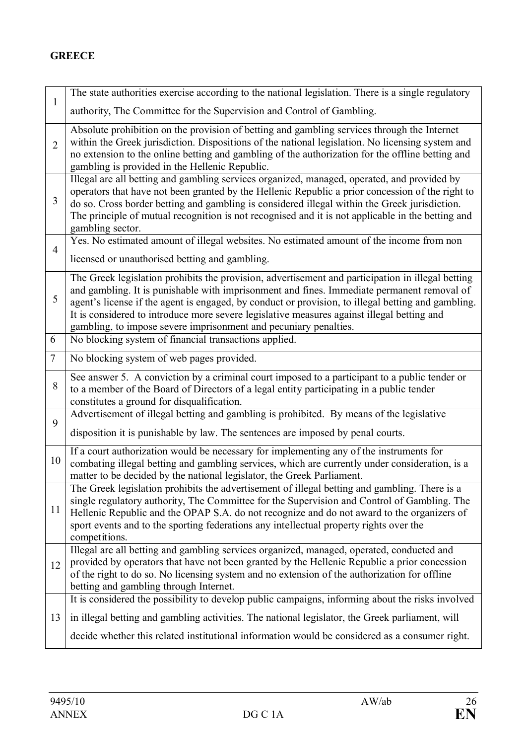## **GREECE**

|                 | The state authorities exercise according to the national legislation. There is a single regulatory                                                                                                                                                                                                                                                                                                                                                                      |
|-----------------|-------------------------------------------------------------------------------------------------------------------------------------------------------------------------------------------------------------------------------------------------------------------------------------------------------------------------------------------------------------------------------------------------------------------------------------------------------------------------|
| $\mathbf{1}$    | authority, The Committee for the Supervision and Control of Gambling.                                                                                                                                                                                                                                                                                                                                                                                                   |
| $\overline{2}$  | Absolute prohibition on the provision of betting and gambling services through the Internet<br>within the Greek jurisdiction. Dispositions of the national legislation. No licensing system and<br>no extension to the online betting and gambling of the authorization for the offline betting and<br>gambling is provided in the Hellenic Republic.                                                                                                                   |
| 3               | Illegal are all betting and gambling services organized, managed, operated, and provided by<br>operators that have not been granted by the Hellenic Republic a prior concession of the right to<br>do so. Cross border betting and gambling is considered illegal within the Greek jurisdiction.<br>The principle of mutual recognition is not recognised and it is not applicable in the betting and<br>gambling sector.                                               |
| $\overline{4}$  | Yes. No estimated amount of illegal websites. No estimated amount of the income from non                                                                                                                                                                                                                                                                                                                                                                                |
|                 | licensed or unauthorised betting and gambling.                                                                                                                                                                                                                                                                                                                                                                                                                          |
| 5               | The Greek legislation prohibits the provision, advertisement and participation in illegal betting<br>and gambling. It is punishable with imprisonment and fines. Immediate permanent removal of<br>agent's license if the agent is engaged, by conduct or provision, to illegal betting and gambling.<br>It is considered to introduce more severe legislative measures against illegal betting and<br>gambling, to impose severe imprisonment and pecuniary penalties. |
| 6               | No blocking system of financial transactions applied.                                                                                                                                                                                                                                                                                                                                                                                                                   |
| $7\phantom{.0}$ | No blocking system of web pages provided.                                                                                                                                                                                                                                                                                                                                                                                                                               |
| $8\,$           | See answer 5. A conviction by a criminal court imposed to a participant to a public tender or<br>to a member of the Board of Directors of a legal entity participating in a public tender<br>constitutes a ground for disqualification.                                                                                                                                                                                                                                 |
| 9               | Advertisement of illegal betting and gambling is prohibited. By means of the legislative                                                                                                                                                                                                                                                                                                                                                                                |
|                 | disposition it is punishable by law. The sentences are imposed by penal courts.                                                                                                                                                                                                                                                                                                                                                                                         |
| 10              | If a court authorization would be necessary for implementing any of the instruments for<br>combating illegal betting and gambling services, which are currently under consideration, is a<br>matter to be decided by the national legislator, the Greek Parliament.                                                                                                                                                                                                     |
| 11              | The Greek legislation prohibits the advertisement of illegal betting and gambling. There is a<br>single regulatory authority. The Committee for the Supervision and Control of Gambling. The<br>Hellenic Republic and the OPAP S.A. do not recognize and do not award to the organizers of<br>sport events and to the sporting federations any intellectual property rights over the<br>competitions.                                                                   |
| 12              | Illegal are all betting and gambling services organized, managed, operated, conducted and<br>provided by operators that have not been granted by the Hellenic Republic a prior concession<br>of the right to do so. No licensing system and no extension of the authorization for offline<br>betting and gambling through Internet.                                                                                                                                     |
|                 | It is considered the possibility to develop public campaigns, informing about the risks involved                                                                                                                                                                                                                                                                                                                                                                        |
| 13              | in illegal betting and gambling activities. The national legislator, the Greek parliament, will                                                                                                                                                                                                                                                                                                                                                                         |
|                 | decide whether this related institutional information would be considered as a consumer right.                                                                                                                                                                                                                                                                                                                                                                          |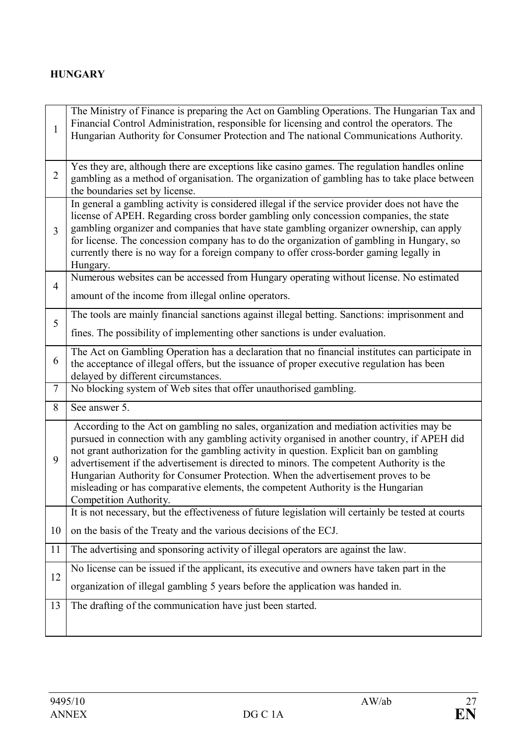## **HUNGARY**

| $\mathbf{1}$   | The Ministry of Finance is preparing the Act on Gambling Operations. The Hungarian Tax and<br>Financial Control Administration, responsible for licensing and control the operators. The<br>Hungarian Authority for Consumer Protection and The national Communications Authority.                                                                                                                                                                                                                                                                                             |
|----------------|--------------------------------------------------------------------------------------------------------------------------------------------------------------------------------------------------------------------------------------------------------------------------------------------------------------------------------------------------------------------------------------------------------------------------------------------------------------------------------------------------------------------------------------------------------------------------------|
| $\overline{2}$ | Yes they are, although there are exceptions like casino games. The regulation handles online<br>gambling as a method of organisation. The organization of gambling has to take place between<br>the boundaries set by license.                                                                                                                                                                                                                                                                                                                                                 |
| $\overline{3}$ | In general a gambling activity is considered illegal if the service provider does not have the<br>license of APEH. Regarding cross border gambling only concession companies, the state<br>gambling organizer and companies that have state gambling organizer ownership, can apply<br>for license. The concession company has to do the organization of gambling in Hungary, so<br>currently there is no way for a foreign company to offer cross-border gaming legally in<br>Hungary.                                                                                        |
| $\overline{4}$ | Numerous websites can be accessed from Hungary operating without license. No estimated<br>amount of the income from illegal online operators.                                                                                                                                                                                                                                                                                                                                                                                                                                  |
| 5              | The tools are mainly financial sanctions against illegal betting. Sanctions: imprisonment and<br>fines. The possibility of implementing other sanctions is under evaluation.                                                                                                                                                                                                                                                                                                                                                                                                   |
| 6              | The Act on Gambling Operation has a declaration that no financial institutes can participate in<br>the acceptance of illegal offers, but the issuance of proper executive regulation has been<br>delayed by different circumstances.                                                                                                                                                                                                                                                                                                                                           |
| $\tau$         | No blocking system of Web sites that offer unauthorised gambling.                                                                                                                                                                                                                                                                                                                                                                                                                                                                                                              |
| 8              | See answer 5.                                                                                                                                                                                                                                                                                                                                                                                                                                                                                                                                                                  |
| 9              | According to the Act on gambling no sales, organization and mediation activities may be<br>pursued in connection with any gambling activity organised in another country, if APEH did<br>not grant authorization for the gambling activity in question. Explicit ban on gambling<br>advertisement if the advertisement is directed to minors. The competent Authority is the<br>Hungarian Authority for Consumer Protection. When the advertisement proves to be<br>misleading or has comparative elements, the competent Authority is the Hungarian<br>Competition Authority. |
|                | It is not necessary, but the effectiveness of future legislation will certainly be tested at courts                                                                                                                                                                                                                                                                                                                                                                                                                                                                            |
| 10             | on the basis of the Treaty and the various decisions of the ECJ.                                                                                                                                                                                                                                                                                                                                                                                                                                                                                                               |
| 11             | The advertising and sponsoring activity of illegal operators are against the law.                                                                                                                                                                                                                                                                                                                                                                                                                                                                                              |
| 12             | No license can be issued if the applicant, its executive and owners have taken part in the                                                                                                                                                                                                                                                                                                                                                                                                                                                                                     |
|                | organization of illegal gambling 5 years before the application was handed in.                                                                                                                                                                                                                                                                                                                                                                                                                                                                                                 |
| 13             | The drafting of the communication have just been started.                                                                                                                                                                                                                                                                                                                                                                                                                                                                                                                      |
|                |                                                                                                                                                                                                                                                                                                                                                                                                                                                                                                                                                                                |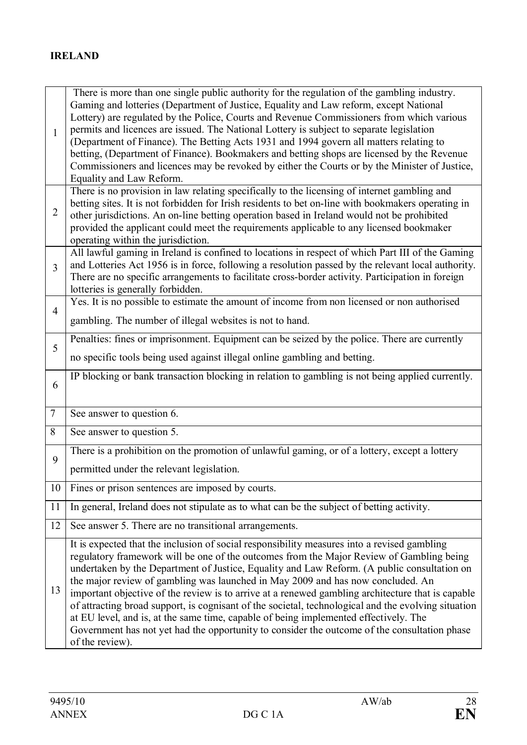| 1              | There is more than one single public authority for the regulation of the gambling industry.<br>Gaming and lotteries (Department of Justice, Equality and Law reform, except National<br>Lottery) are regulated by the Police, Courts and Revenue Commissioners from which various<br>permits and licences are issued. The National Lottery is subject to separate legislation<br>(Department of Finance). The Betting Acts 1931 and 1994 govern all matters relating to<br>betting, (Department of Finance). Bookmakers and betting shops are licensed by the Revenue<br>Commissioners and licences may be revoked by either the Courts or by the Minister of Justice,<br>Equality and Law Reform.                                                                                               |
|----------------|--------------------------------------------------------------------------------------------------------------------------------------------------------------------------------------------------------------------------------------------------------------------------------------------------------------------------------------------------------------------------------------------------------------------------------------------------------------------------------------------------------------------------------------------------------------------------------------------------------------------------------------------------------------------------------------------------------------------------------------------------------------------------------------------------|
| $\overline{2}$ | There is no provision in law relating specifically to the licensing of internet gambling and<br>betting sites. It is not forbidden for Irish residents to bet on-line with bookmakers operating in<br>other jurisdictions. An on-line betting operation based in Ireland would not be prohibited<br>provided the applicant could meet the requirements applicable to any licensed bookmaker<br>operating within the jurisdiction.                                                                                                                                                                                                                                                                                                                                                                |
| $\overline{3}$ | All lawful gaming in Ireland is confined to locations in respect of which Part III of the Gaming<br>and Lotteries Act 1956 is in force, following a resolution passed by the relevant local authority.<br>There are no specific arrangements to facilitate cross-border activity. Participation in foreign<br>lotteries is generally forbidden.                                                                                                                                                                                                                                                                                                                                                                                                                                                  |
| $\overline{4}$ | Yes. It is no possible to estimate the amount of income from non licensed or non authorised<br>gambling. The number of illegal websites is not to hand.                                                                                                                                                                                                                                                                                                                                                                                                                                                                                                                                                                                                                                          |
| 5              | Penalties: fines or imprisonment. Equipment can be seized by the police. There are currently<br>no specific tools being used against illegal online gambling and betting.                                                                                                                                                                                                                                                                                                                                                                                                                                                                                                                                                                                                                        |
| 6              | IP blocking or bank transaction blocking in relation to gambling is not being applied currently.                                                                                                                                                                                                                                                                                                                                                                                                                                                                                                                                                                                                                                                                                                 |
| $\tau$         | See answer to question 6.                                                                                                                                                                                                                                                                                                                                                                                                                                                                                                                                                                                                                                                                                                                                                                        |
| 8              | See answer to question 5.                                                                                                                                                                                                                                                                                                                                                                                                                                                                                                                                                                                                                                                                                                                                                                        |
| 9              | There is a prohibition on the promotion of unlawful gaming, or of a lottery, except a lottery<br>permitted under the relevant legislation.                                                                                                                                                                                                                                                                                                                                                                                                                                                                                                                                                                                                                                                       |
| 10             | Fines or prison sentences are imposed by courts.                                                                                                                                                                                                                                                                                                                                                                                                                                                                                                                                                                                                                                                                                                                                                 |
| 11             | In general, Ireland does not stipulate as to what can be the subject of betting activity.                                                                                                                                                                                                                                                                                                                                                                                                                                                                                                                                                                                                                                                                                                        |
| 12             | See answer 5. There are no transitional arrangements.                                                                                                                                                                                                                                                                                                                                                                                                                                                                                                                                                                                                                                                                                                                                            |
| 13             | It is expected that the inclusion of social responsibility measures into a revised gambling<br>regulatory framework will be one of the outcomes from the Major Review of Gambling being<br>undertaken by the Department of Justice, Equality and Law Reform. (A public consultation on<br>the major review of gambling was launched in May 2009 and has now concluded. An<br>important objective of the review is to arrive at a renewed gambling architecture that is capable<br>of attracting broad support, is cognisant of the societal, technological and the evolving situation<br>at EU level, and is, at the same time, capable of being implemented effectively. The<br>Government has not yet had the opportunity to consider the outcome of the consultation phase<br>of the review). |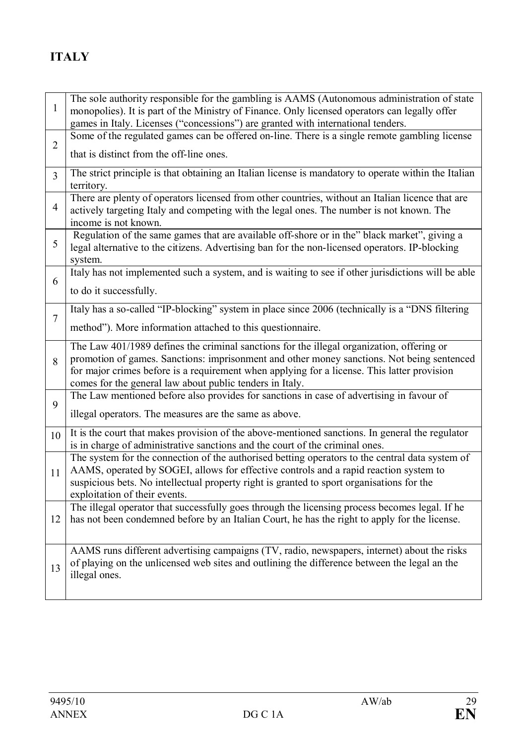# **ITALY**

| $\mathbf{1}$   | The sole authority responsible for the gambling is AAMS (Autonomous administration of state<br>monopolies). It is part of the Ministry of Finance. Only licensed operators can legally offer<br>games in Italy. Licenses ("concessions") are granted with international tenders.                                                                   |
|----------------|----------------------------------------------------------------------------------------------------------------------------------------------------------------------------------------------------------------------------------------------------------------------------------------------------------------------------------------------------|
|                | Some of the regulated games can be offered on-line. There is a single remote gambling license                                                                                                                                                                                                                                                      |
| $\overline{2}$ | that is distinct from the off-line ones.                                                                                                                                                                                                                                                                                                           |
| $\overline{3}$ | The strict principle is that obtaining an Italian license is mandatory to operate within the Italian<br>territory.                                                                                                                                                                                                                                 |
| $\overline{4}$ | There are plenty of operators licensed from other countries, without an Italian licence that are<br>actively targeting Italy and competing with the legal ones. The number is not known. The<br>income is not known.                                                                                                                               |
| 5              | Regulation of the same games that are available off-shore or in the" black market", giving a<br>legal alternative to the citizens. Advertising ban for the non-licensed operators. IP-blocking<br>system.                                                                                                                                          |
|                | Italy has not implemented such a system, and is waiting to see if other jurisdictions will be able                                                                                                                                                                                                                                                 |
| 6              | to do it successfully.                                                                                                                                                                                                                                                                                                                             |
|                | Italy has a so-called "IP-blocking" system in place since 2006 (technically is a "DNS filtering                                                                                                                                                                                                                                                    |
| $\overline{7}$ | method"). More information attached to this questionnaire.                                                                                                                                                                                                                                                                                         |
| 8              | The Law 401/1989 defines the criminal sanctions for the illegal organization, offering or<br>promotion of games. Sanctions: imprisonment and other money sanctions. Not being sentenced<br>for major crimes before is a requirement when applying for a license. This latter provision<br>comes for the general law about public tenders in Italy. |
|                | The Law mentioned before also provides for sanctions in case of advertising in favour of                                                                                                                                                                                                                                                           |
| 9              | illegal operators. The measures are the same as above.                                                                                                                                                                                                                                                                                             |
| 10             | It is the court that makes provision of the above-mentioned sanctions. In general the regulator<br>is in charge of administrative sanctions and the court of the criminal ones.                                                                                                                                                                    |
| 11             | The system for the connection of the authorised betting operators to the central data system of<br>AAMS, operated by SOGEI, allows for effective controls and a rapid reaction system to<br>suspicious bets. No intellectual property right is granted to sport organisations for the<br>exploitation of their events.                             |
|                | The illegal operator that successfully goes through the licensing process becomes legal. If he                                                                                                                                                                                                                                                     |
| 12             | has not been condemned before by an Italian Court, he has the right to apply for the license.                                                                                                                                                                                                                                                      |
| 13             | AAMS runs different advertising campaigns (TV, radio, newspapers, internet) about the risks                                                                                                                                                                                                                                                        |
|                | of playing on the unlicensed web sites and outlining the difference between the legal an the                                                                                                                                                                                                                                                       |
|                | illegal ones.                                                                                                                                                                                                                                                                                                                                      |
|                |                                                                                                                                                                                                                                                                                                                                                    |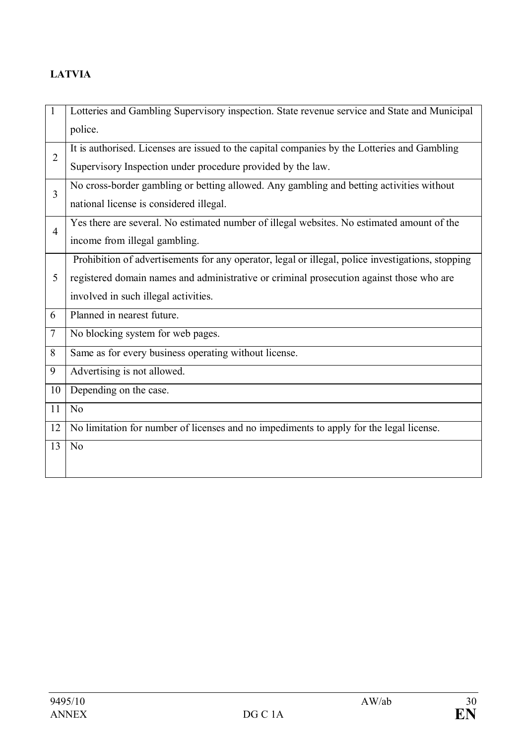# **LATVIA**

| $\mathbf{1}$   | Lotteries and Gambling Supervisory inspection. State revenue service and State and Municipal      |
|----------------|---------------------------------------------------------------------------------------------------|
|                | police.                                                                                           |
| $\overline{2}$ | It is authorised. Licenses are issued to the capital companies by the Lotteries and Gambling      |
|                | Supervisory Inspection under procedure provided by the law.                                       |
| 3              | No cross-border gambling or betting allowed. Any gambling and betting activities without          |
|                | national license is considered illegal.                                                           |
| $\overline{4}$ | Yes there are several. No estimated number of illegal websites. No estimated amount of the        |
|                | income from illegal gambling.                                                                     |
|                | Prohibition of advertisements for any operator, legal or illegal, police investigations, stopping |
| 5              | registered domain names and administrative or criminal prosecution against those who are          |
|                | involved in such illegal activities.                                                              |
| 6              | Planned in nearest future.                                                                        |
| $\tau$         | No blocking system for web pages.                                                                 |
| 8              | Same as for every business operating without license.                                             |
| 9              | Advertising is not allowed.                                                                       |
| 10             | Depending on the case.                                                                            |
| 11             | N <sub>0</sub>                                                                                    |
| 12             | No limitation for number of licenses and no impediments to apply for the legal license.           |
| 13             | N <sub>o</sub>                                                                                    |
|                |                                                                                                   |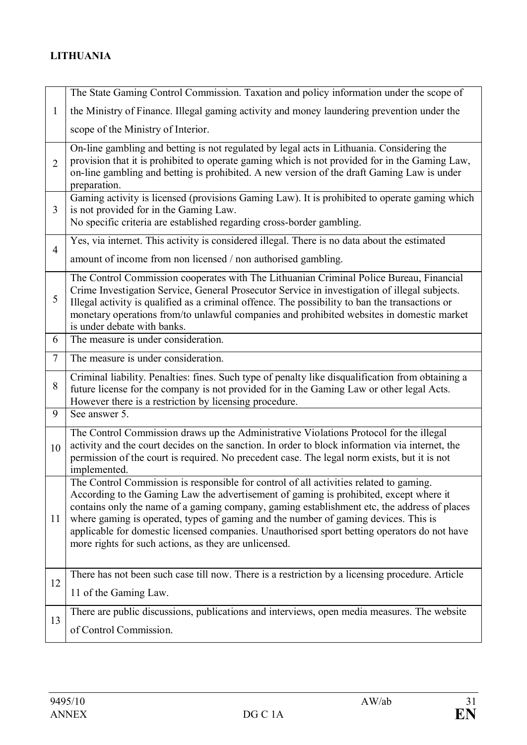# **LITHUANIA**

|                | The State Gaming Control Commission. Taxation and policy information under the scope of                                                                                                                                                                                                                                                                                                                                                                                                                                         |
|----------------|---------------------------------------------------------------------------------------------------------------------------------------------------------------------------------------------------------------------------------------------------------------------------------------------------------------------------------------------------------------------------------------------------------------------------------------------------------------------------------------------------------------------------------|
| $\mathbf{1}$   | the Ministry of Finance. Illegal gaming activity and money laundering prevention under the                                                                                                                                                                                                                                                                                                                                                                                                                                      |
|                | scope of the Ministry of Interior.                                                                                                                                                                                                                                                                                                                                                                                                                                                                                              |
| $\overline{2}$ | On-line gambling and betting is not regulated by legal acts in Lithuania. Considering the<br>provision that it is prohibited to operate gaming which is not provided for in the Gaming Law,<br>on-line gambling and betting is prohibited. A new version of the draft Gaming Law is under<br>preparation.                                                                                                                                                                                                                       |
| $\overline{3}$ | Gaming activity is licensed (provisions Gaming Law). It is prohibited to operate gaming which<br>is not provided for in the Gaming Law.<br>No specific criteria are established regarding cross-border gambling.                                                                                                                                                                                                                                                                                                                |
| $\overline{4}$ | Yes, via internet. This activity is considered illegal. There is no data about the estimated                                                                                                                                                                                                                                                                                                                                                                                                                                    |
|                | amount of income from non licensed / non authorised gambling.                                                                                                                                                                                                                                                                                                                                                                                                                                                                   |
| 5              | The Control Commission cooperates with The Lithuanian Criminal Police Bureau, Financial<br>Crime Investigation Service, General Prosecutor Service in investigation of illegal subjects.<br>Illegal activity is qualified as a criminal offence. The possibility to ban the transactions or<br>monetary operations from/to unlawful companies and prohibited websites in domestic market<br>is under debate with banks.                                                                                                         |
| 6              | The measure is under consideration.                                                                                                                                                                                                                                                                                                                                                                                                                                                                                             |
| $\overline{7}$ | The measure is under consideration.                                                                                                                                                                                                                                                                                                                                                                                                                                                                                             |
| 8              | Criminal liability. Penalties: fines. Such type of penalty like disqualification from obtaining a<br>future license for the company is not provided for in the Gaming Law or other legal Acts.<br>However there is a restriction by licensing procedure.                                                                                                                                                                                                                                                                        |
| 9              | See answer 5.                                                                                                                                                                                                                                                                                                                                                                                                                                                                                                                   |
| 10             | The Control Commission draws up the Administrative Violations Protocol for the illegal<br>activity and the court decides on the sanction. In order to block information via internet, the<br>permission of the court is required. No precedent case. The legal norm exists, but it is not<br>implemented.                                                                                                                                                                                                                       |
| 11             | The Control Commission is responsible for control of all activities related to gaming.<br>According to the Gaming Law the advertisement of gaming is prohibited, except where it<br>contains only the name of a gaming company, gaming establishment etc, the address of places<br>where gaming is operated, types of gaming and the number of gaming devices. This is<br>applicable for domestic licensed companies. Unauthorised sport betting operators do not have<br>more rights for such actions, as they are unlicensed. |
| 12             | There has not been such case till now. There is a restriction by a licensing procedure. Article                                                                                                                                                                                                                                                                                                                                                                                                                                 |
|                | 11 of the Gaming Law.                                                                                                                                                                                                                                                                                                                                                                                                                                                                                                           |
| 13             | There are public discussions, publications and interviews, open media measures. The website                                                                                                                                                                                                                                                                                                                                                                                                                                     |
|                | of Control Commission.                                                                                                                                                                                                                                                                                                                                                                                                                                                                                                          |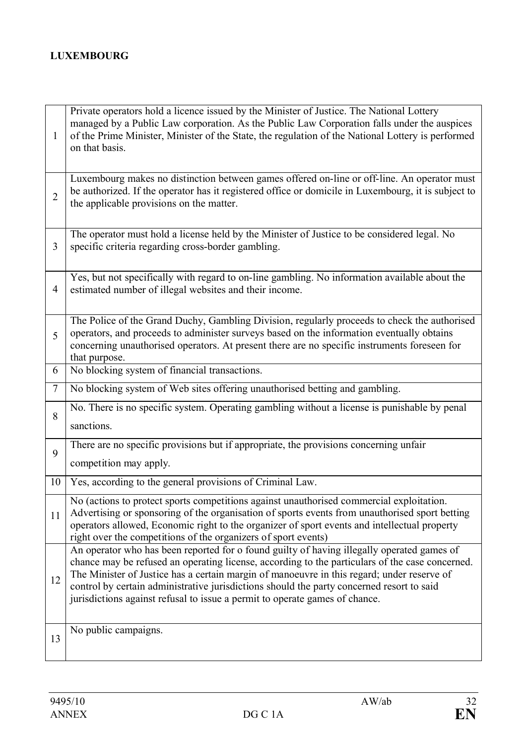## **LUXEMBOURG**

| 1              | Private operators hold a licence issued by the Minister of Justice. The National Lottery<br>managed by a Public Law corporation. As the Public Law Corporation falls under the auspices<br>of the Prime Minister, Minister of the State, the regulation of the National Lottery is performed<br>on that basis.                                                                                                                                                          |
|----------------|-------------------------------------------------------------------------------------------------------------------------------------------------------------------------------------------------------------------------------------------------------------------------------------------------------------------------------------------------------------------------------------------------------------------------------------------------------------------------|
| $\overline{2}$ | Luxembourg makes no distinction between games offered on-line or off-line. An operator must<br>be authorized. If the operator has it registered office or domicile in Luxembourg, it is subject to<br>the applicable provisions on the matter.                                                                                                                                                                                                                          |
| 3              | The operator must hold a license held by the Minister of Justice to be considered legal. No<br>specific criteria regarding cross-border gambling.                                                                                                                                                                                                                                                                                                                       |
| 4              | Yes, but not specifically with regard to on-line gambling. No information available about the<br>estimated number of illegal websites and their income.                                                                                                                                                                                                                                                                                                                 |
| 5              | The Police of the Grand Duchy, Gambling Division, regularly proceeds to check the authorised<br>operators, and proceeds to administer surveys based on the information eventually obtains<br>concerning unauthorised operators. At present there are no specific instruments foreseen for<br>that purpose.                                                                                                                                                              |
| 6              | No blocking system of financial transactions.                                                                                                                                                                                                                                                                                                                                                                                                                           |
| $\tau$         | No blocking system of Web sites offering unauthorised betting and gambling.                                                                                                                                                                                                                                                                                                                                                                                             |
| 8              | No. There is no specific system. Operating gambling without a license is punishable by penal<br>sanctions.                                                                                                                                                                                                                                                                                                                                                              |
| 9              | There are no specific provisions but if appropriate, the provisions concerning unfair<br>competition may apply.                                                                                                                                                                                                                                                                                                                                                         |
| 10             | Yes, according to the general provisions of Criminal Law.                                                                                                                                                                                                                                                                                                                                                                                                               |
| 11             | No (actions to protect sports competitions against unauthorised commercial exploitation.<br>Advertising or sponsoring of the organisation of sports events from unauthorised sport betting<br>operators allowed, Economic right to the organizer of sport events and intellectual property<br>right over the competitions of the organizers of sport events)                                                                                                            |
| 12             | An operator who has been reported for o found guilty of having illegally operated games of<br>chance may be refused an operating license, according to the particulars of the case concerned.<br>The Minister of Justice has a certain margin of manoeuvre in this regard; under reserve of<br>control by certain administrative jurisdictions should the party concerned resort to said<br>jurisdictions against refusal to issue a permit to operate games of chance. |
| 13             | No public campaigns.                                                                                                                                                                                                                                                                                                                                                                                                                                                    |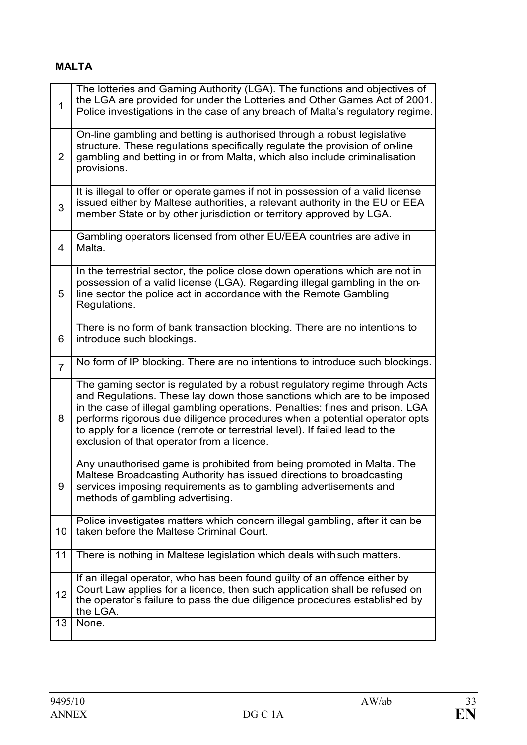## **MALTA**

| $\mathbf{1}$   | The lotteries and Gaming Authority (LGA). The functions and objectives of<br>the LGA are provided for under the Lotteries and Other Games Act of 2001.<br>Police investigations in the case of any breach of Malta's regulatory regime.                                                                                                                                                                                                        |
|----------------|------------------------------------------------------------------------------------------------------------------------------------------------------------------------------------------------------------------------------------------------------------------------------------------------------------------------------------------------------------------------------------------------------------------------------------------------|
| $\overline{2}$ | On-line gambling and betting is authorised through a robust legislative<br>structure. These regulations specifically regulate the provision of on-line<br>gambling and betting in or from Malta, which also include criminalisation<br>provisions.                                                                                                                                                                                             |
| 3              | It is illegal to offer or operate games if not in possession of a valid license<br>issued either by Maltese authorities, a relevant authority in the EU or EEA<br>member State or by other jurisdiction or territory approved by LGA.                                                                                                                                                                                                          |
| $\overline{4}$ | Gambling operators licensed from other EU/EEA countries are adive in<br>Malta.                                                                                                                                                                                                                                                                                                                                                                 |
| 5              | In the terrestrial sector, the police close down operations which are not in<br>possession of a valid license (LGA). Regarding illegal gambling in the on-<br>line sector the police act in accordance with the Remote Gambling<br>Regulations.                                                                                                                                                                                                |
| 6              | There is no form of bank transaction blocking. There are no intentions to<br>introduce such blockings.                                                                                                                                                                                                                                                                                                                                         |
| $\overline{7}$ | No form of IP blocking. There are no intentions to introduce such blockings.                                                                                                                                                                                                                                                                                                                                                                   |
| 8              | The gaming sector is regulated by a robust regulatory regime through Acts<br>and Regulations. These lay down those sanctions which are to be imposed<br>in the case of illegal gambling operations. Penalties: fines and prison. LGA<br>performs rigorous due diligence procedures when a potential operator opts<br>to apply for a licence (remote or terrestrial level). If failed lead to the<br>exclusion of that operator from a licence. |
| 9              | Any unauthorised game is prohibited from being promoted in Malta. The<br>Maltese Broadcasting Authority has issued directions to broadcasting<br>services imposing requirements as to gambling advertisements and<br>methods of gambling advertising.                                                                                                                                                                                          |
| 10             | Police investigates matters which concern illegal gambling, after it can be<br>taken before the Maltese Criminal Court.                                                                                                                                                                                                                                                                                                                        |
| 11             | There is nothing in Maltese legislation which deals with such matters.                                                                                                                                                                                                                                                                                                                                                                         |
| 12             | If an illegal operator, who has been found guilty of an offence either by<br>Court Law applies for a licence, then such application shall be refused on<br>the operator's failure to pass the due diligence procedures established by<br>the LGA.                                                                                                                                                                                              |
| 13             | None.                                                                                                                                                                                                                                                                                                                                                                                                                                          |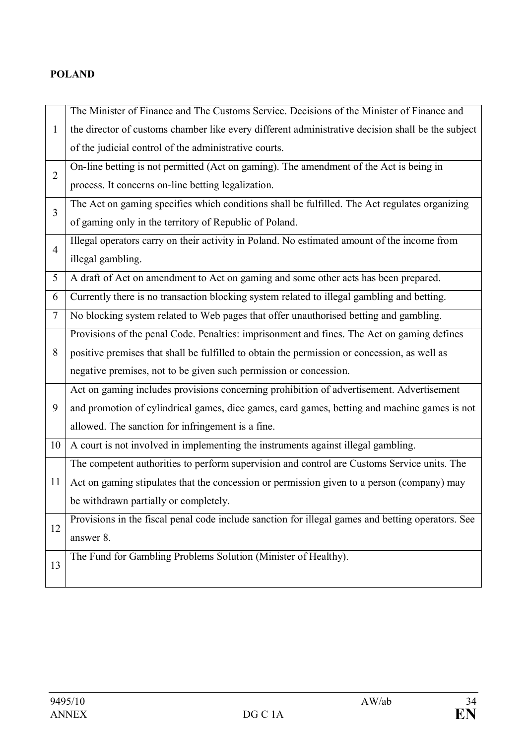## **POLAND**

|                | The Minister of Finance and The Customs Service. Decisions of the Minister of Finance and         |
|----------------|---------------------------------------------------------------------------------------------------|
| $\mathbf{1}$   | the director of customs chamber like every different administrative decision shall be the subject |
|                | of the judicial control of the administrative courts.                                             |
| $\overline{2}$ | On-line betting is not permitted (Act on gaming). The amendment of the Act is being in            |
|                | process. It concerns on-line betting legalization.                                                |
| $\overline{3}$ | The Act on gaming specifies which conditions shall be fulfilled. The Act regulates organizing     |
|                | of gaming only in the territory of Republic of Poland.                                            |
| $\overline{4}$ | Illegal operators carry on their activity in Poland. No estimated amount of the income from       |
|                | illegal gambling.                                                                                 |
| 5              | A draft of Act on amendment to Act on gaming and some other acts has been prepared.               |
| 6              | Currently there is no transaction blocking system related to illegal gambling and betting.        |
| $\tau$         | No blocking system related to Web pages that offer unauthorised betting and gambling.             |
|                | Provisions of the penal Code. Penalties: imprisonment and fines. The Act on gaming defines        |
| 8              | positive premises that shall be fulfilled to obtain the permission or concession, as well as      |
|                | negative premises, not to be given such permission or concession.                                 |
|                | Act on gaming includes provisions concerning prohibition of advertisement. Advertisement          |
| 9              | and promotion of cylindrical games, dice games, card games, betting and machine games is not      |
|                | allowed. The sanction for infringement is a fine.                                                 |
| 10             | A court is not involved in implementing the instruments against illegal gambling.                 |
|                | The competent authorities to perform supervision and control are Customs Service units. The       |
| 11             | Act on gaming stipulates that the concession or permission given to a person (company) may        |
|                | be withdrawn partially or completely.                                                             |
| 12             | Provisions in the fiscal penal code include sanction for illegal games and betting operators. See |
|                | answer 8.                                                                                         |
| 13             | The Fund for Gambling Problems Solution (Minister of Healthy).                                    |
|                |                                                                                                   |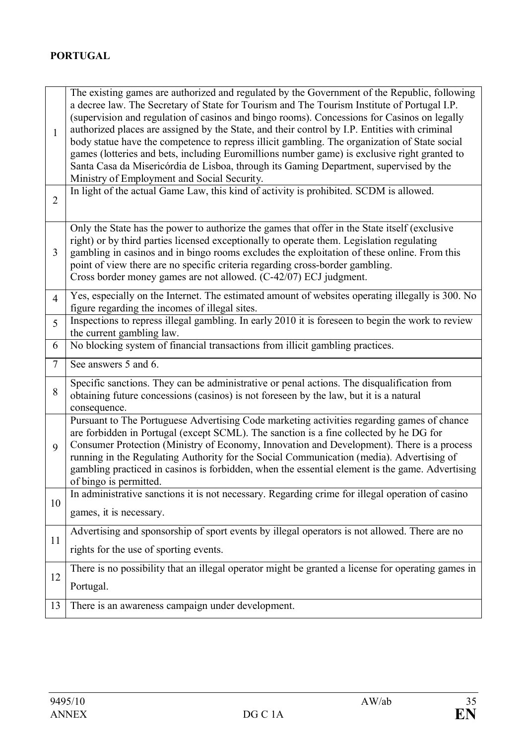| 1              | The existing games are authorized and regulated by the Government of the Republic, following<br>a decree law. The Secretary of State for Tourism and The Tourism Institute of Portugal I.P.<br>(supervision and regulation of casinos and bingo rooms). Concessions for Casinos on legally<br>authorized places are assigned by the State, and their control by I.P. Entities with criminal<br>body statue have the competence to repress illicit gambling. The organization of State social<br>games (lotteries and bets, including Euromillions number game) is exclusive right granted to<br>Santa Casa da Misericórdia de Lisboa, through its Gaming Department, supervised by the<br>Ministry of Employment and Social Security. |
|----------------|---------------------------------------------------------------------------------------------------------------------------------------------------------------------------------------------------------------------------------------------------------------------------------------------------------------------------------------------------------------------------------------------------------------------------------------------------------------------------------------------------------------------------------------------------------------------------------------------------------------------------------------------------------------------------------------------------------------------------------------|
| $\overline{2}$ | In light of the actual Game Law, this kind of activity is prohibited. SCDM is allowed.                                                                                                                                                                                                                                                                                                                                                                                                                                                                                                                                                                                                                                                |
| 3              | Only the State has the power to authorize the games that offer in the State itself (exclusive<br>right) or by third parties licensed exceptionally to operate them. Legislation regulating<br>gambling in casinos and in bingo rooms excludes the exploitation of these online. From this<br>point of view there are no specific criteria regarding cross-border gambling.<br>Cross border money games are not allowed. (C-42/07) ECJ judgment.                                                                                                                                                                                                                                                                                       |
| $\overline{4}$ | Yes, especially on the Internet. The estimated amount of websites operating illegally is 300. No<br>figure regarding the incomes of illegal sites.                                                                                                                                                                                                                                                                                                                                                                                                                                                                                                                                                                                    |
| 5              | Inspections to repress illegal gambling. In early 2010 it is foreseen to begin the work to review<br>the current gambling law.                                                                                                                                                                                                                                                                                                                                                                                                                                                                                                                                                                                                        |
| 6              | No blocking system of financial transactions from illicit gambling practices.                                                                                                                                                                                                                                                                                                                                                                                                                                                                                                                                                                                                                                                         |
| $\overline{7}$ | See answers 5 and 6.                                                                                                                                                                                                                                                                                                                                                                                                                                                                                                                                                                                                                                                                                                                  |
| 8              | Specific sanctions. They can be administrative or penal actions. The disqualification from<br>obtaining future concessions (casinos) is not foreseen by the law, but it is a natural<br>consequence.                                                                                                                                                                                                                                                                                                                                                                                                                                                                                                                                  |
| 9              | Pursuant to The Portuguese Advertising Code marketing activities regarding games of chance<br>are forbidden in Portugal (except SCML). The sanction is a fine collected by he DG for<br>Consumer Protection (Ministry of Economy, Innovation and Development). There is a process<br>running in the Regulating Authority for the Social Communication (media). Advertising of<br>gambling practiced in casinos is forbidden, when the essential element is the game. Advertising<br>of bingo is permitted.                                                                                                                                                                                                                            |
| 10             | In administrative sanctions it is not necessary. Regarding crime for illegal operation of casino<br>games, it is necessary.                                                                                                                                                                                                                                                                                                                                                                                                                                                                                                                                                                                                           |
| 11             | Advertising and sponsorship of sport events by illegal operators is not allowed. There are no<br>rights for the use of sporting events.                                                                                                                                                                                                                                                                                                                                                                                                                                                                                                                                                                                               |
| 12             | There is no possibility that an illegal operator might be granted a license for operating games in                                                                                                                                                                                                                                                                                                                                                                                                                                                                                                                                                                                                                                    |
|                | Portugal.                                                                                                                                                                                                                                                                                                                                                                                                                                                                                                                                                                                                                                                                                                                             |
| 13             | There is an awareness campaign under development.                                                                                                                                                                                                                                                                                                                                                                                                                                                                                                                                                                                                                                                                                     |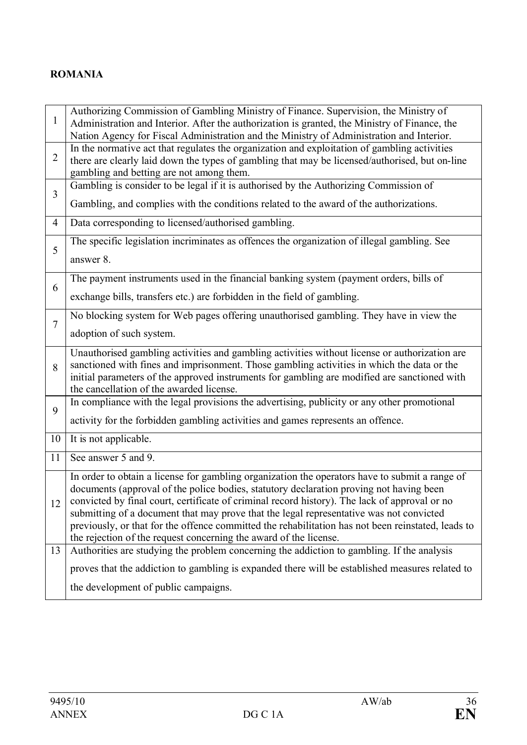### **ROMANIA**

| $\mathbf{1}$   | Authorizing Commission of Gambling Ministry of Finance. Supervision, the Ministry of<br>Administration and Interior. After the authorization is granted, the Ministry of Finance, the         |
|----------------|-----------------------------------------------------------------------------------------------------------------------------------------------------------------------------------------------|
|                | Nation Agency for Fiscal Administration and the Ministry of Administration and Interior.<br>In the normative act that regulates the organization and exploitation of gambling activities      |
| $\overline{2}$ | there are clearly laid down the types of gambling that may be licensed/authorised, but on-line<br>gambling and betting are not among them.                                                    |
| $\overline{3}$ | Gambling is consider to be legal if it is authorised by the Authorizing Commission of                                                                                                         |
|                | Gambling, and complies with the conditions related to the award of the authorizations.                                                                                                        |
| $\overline{4}$ | Data corresponding to licensed/authorised gambling.                                                                                                                                           |
| 5              | The specific legislation incriminates as offences the organization of illegal gambling. See                                                                                                   |
|                | answer 8.                                                                                                                                                                                     |
| 6              | The payment instruments used in the financial banking system (payment orders, bills of                                                                                                        |
|                | exchange bills, transfers etc.) are forbidden in the field of gambling.                                                                                                                       |
| $\overline{7}$ | No blocking system for Web pages offering unauthorised gambling. They have in view the                                                                                                        |
|                | adoption of such system.                                                                                                                                                                      |
|                | Unauthorised gambling activities and gambling activities without license or authorization are                                                                                                 |
| 8              | sanctioned with fines and imprisonment. Those gambling activities in which the data or the<br>initial parameters of the approved instruments for gambling are modified are sanctioned with    |
|                | the cancellation of the awarded license.                                                                                                                                                      |
| 9              | In compliance with the legal provisions the advertising, publicity or any other promotional                                                                                                   |
|                | activity for the forbidden gambling activities and games represents an offence.                                                                                                               |
| 10             | It is not applicable.                                                                                                                                                                         |
| 11             | See answer 5 and 9.                                                                                                                                                                           |
|                | In order to obtain a license for gambling organization the operators have to submit a range of                                                                                                |
|                | documents (approval of the police bodies, statutory declaration proving not having been<br>12   convicted by final court, certificate of criminal record history). The lack of approval or no |
|                | submitting of a document that may prove that the legal representative was not convicted                                                                                                       |
|                | previously, or that for the offence committed the rehabilitation has not been reinstated, leads to<br>the rejection of the request concerning the award of the license.                       |
| 13             | Authorities are studying the problem concerning the addiction to gambling. If the analysis                                                                                                    |
|                | proves that the addiction to gambling is expanded there will be established measures related to                                                                                               |
|                | the development of public campaigns.                                                                                                                                                          |
|                |                                                                                                                                                                                               |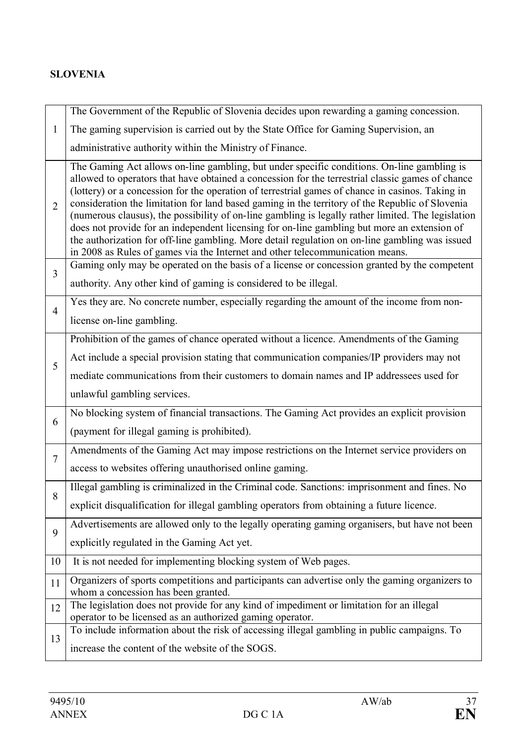## **SLOVENIA**

|                | The Government of the Republic of Slovenia decides upon rewarding a gaming concession.                                                                                                                                                                                                                                                                                                                                                                                                                                                                                                                                                                                                                                                                                                        |
|----------------|-----------------------------------------------------------------------------------------------------------------------------------------------------------------------------------------------------------------------------------------------------------------------------------------------------------------------------------------------------------------------------------------------------------------------------------------------------------------------------------------------------------------------------------------------------------------------------------------------------------------------------------------------------------------------------------------------------------------------------------------------------------------------------------------------|
| 1              | The gaming supervision is carried out by the State Office for Gaming Supervision, an                                                                                                                                                                                                                                                                                                                                                                                                                                                                                                                                                                                                                                                                                                          |
|                | administrative authority within the Ministry of Finance.                                                                                                                                                                                                                                                                                                                                                                                                                                                                                                                                                                                                                                                                                                                                      |
| $\overline{2}$ | The Gaming Act allows on-line gambling, but under specific conditions. On-line gambling is<br>allowed to operators that have obtained a concession for the terrestrial classic games of chance<br>(lottery) or a concession for the operation of terrestrial games of chance in casinos. Taking in<br>consideration the limitation for land based gaming in the territory of the Republic of Slovenia<br>(numerous clausus), the possibility of on-line gambling is legally rather limited. The legislation<br>does not provide for an independent licensing for on-line gambling but more an extension of<br>the authorization for off-line gambling. More detail regulation on on-line gambling was issued<br>in 2008 as Rules of games via the Internet and other telecommunication means. |
| $\overline{3}$ | Gaming only may be operated on the basis of a license or concession granted by the competent                                                                                                                                                                                                                                                                                                                                                                                                                                                                                                                                                                                                                                                                                                  |
|                | authority. Any other kind of gaming is considered to be illegal.                                                                                                                                                                                                                                                                                                                                                                                                                                                                                                                                                                                                                                                                                                                              |
| $\overline{4}$ | Yes they are. No concrete number, especially regarding the amount of the income from non-                                                                                                                                                                                                                                                                                                                                                                                                                                                                                                                                                                                                                                                                                                     |
|                | license on-line gambling.                                                                                                                                                                                                                                                                                                                                                                                                                                                                                                                                                                                                                                                                                                                                                                     |
|                | Prohibition of the games of chance operated without a licence. Amendments of the Gaming                                                                                                                                                                                                                                                                                                                                                                                                                                                                                                                                                                                                                                                                                                       |
| 5              | Act include a special provision stating that communication companies/IP providers may not                                                                                                                                                                                                                                                                                                                                                                                                                                                                                                                                                                                                                                                                                                     |
|                | mediate communications from their customers to domain names and IP addressees used for                                                                                                                                                                                                                                                                                                                                                                                                                                                                                                                                                                                                                                                                                                        |
|                | unlawful gambling services.                                                                                                                                                                                                                                                                                                                                                                                                                                                                                                                                                                                                                                                                                                                                                                   |
| 6              | No blocking system of financial transactions. The Gaming Act provides an explicit provision                                                                                                                                                                                                                                                                                                                                                                                                                                                                                                                                                                                                                                                                                                   |
|                | (payment for illegal gaming is prohibited).                                                                                                                                                                                                                                                                                                                                                                                                                                                                                                                                                                                                                                                                                                                                                   |
| 7              | Amendments of the Gaming Act may impose restrictions on the Internet service providers on                                                                                                                                                                                                                                                                                                                                                                                                                                                                                                                                                                                                                                                                                                     |
|                | access to websites offering unauthorised online gaming.                                                                                                                                                                                                                                                                                                                                                                                                                                                                                                                                                                                                                                                                                                                                       |
| 8              | Illegal gambling is criminalized in the Criminal code. Sanctions: imprisonment and fines. No                                                                                                                                                                                                                                                                                                                                                                                                                                                                                                                                                                                                                                                                                                  |
|                | explicit disqualification for illegal gambling operators from obtaining a future licence.                                                                                                                                                                                                                                                                                                                                                                                                                                                                                                                                                                                                                                                                                                     |
| 9              | Advertisements are allowed only to the legally operating gaming organisers, but have not been                                                                                                                                                                                                                                                                                                                                                                                                                                                                                                                                                                                                                                                                                                 |
|                | explicitly regulated in the Gaming Act yet.                                                                                                                                                                                                                                                                                                                                                                                                                                                                                                                                                                                                                                                                                                                                                   |
| 10             | It is not needed for implementing blocking system of Web pages.                                                                                                                                                                                                                                                                                                                                                                                                                                                                                                                                                                                                                                                                                                                               |
| 11             | Organizers of sports competitions and participants can advertise only the gaming organizers to<br>whom a concession has been granted.                                                                                                                                                                                                                                                                                                                                                                                                                                                                                                                                                                                                                                                         |
| 12             | The legislation does not provide for any kind of impediment or limitation for an illegal                                                                                                                                                                                                                                                                                                                                                                                                                                                                                                                                                                                                                                                                                                      |
|                | operator to be licensed as an authorized gaming operator.<br>To include information about the risk of accessing illegal gambling in public campaigns. To                                                                                                                                                                                                                                                                                                                                                                                                                                                                                                                                                                                                                                      |
| 13             | increase the content of the website of the SOGS.                                                                                                                                                                                                                                                                                                                                                                                                                                                                                                                                                                                                                                                                                                                                              |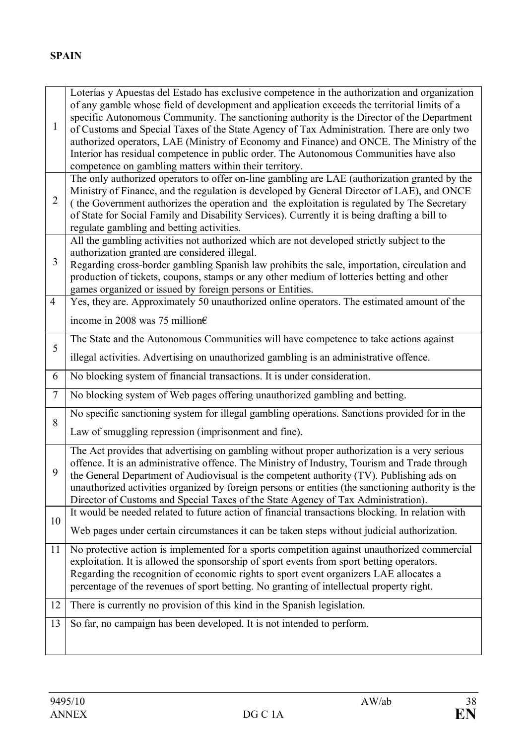| $\mathbf{1}$   | Loterías y Apuestas del Estado has exclusive competence in the authorization and organization<br>of any gamble whose field of development and application exceeds the territorial limits of a<br>specific Autonomous Community. The sanctioning authority is the Director of the Department<br>of Customs and Special Taxes of the State Agency of Tax Administration. There are only two<br>authorized operators, LAE (Ministry of Economy and Finance) and ONCE. The Ministry of the<br>Interior has residual competence in public order. The Autonomous Communities have also |
|----------------|----------------------------------------------------------------------------------------------------------------------------------------------------------------------------------------------------------------------------------------------------------------------------------------------------------------------------------------------------------------------------------------------------------------------------------------------------------------------------------------------------------------------------------------------------------------------------------|
|                | competence on gambling matters within their territory.                                                                                                                                                                                                                                                                                                                                                                                                                                                                                                                           |
| $\overline{2}$ | The only authorized operators to offer on-line gambling are LAE (authorization granted by the<br>Ministry of Finance, and the regulation is developed by General Director of LAE), and ONCE<br>(the Government authorizes the operation and the exploitation is regulated by The Secretary<br>of State for Social Family and Disability Services). Currently it is being drafting a bill to<br>regulate gambling and betting activities.                                                                                                                                         |
|                | All the gambling activities not authorized which are not developed strictly subject to the                                                                                                                                                                                                                                                                                                                                                                                                                                                                                       |
| 3              | authorization granted are considered illegal.<br>Regarding cross-border gambling Spanish law prohibits the sale, importation, circulation and<br>production of tickets, coupons, stamps or any other medium of lotteries betting and other<br>games organized or issued by foreign persons or Entities.                                                                                                                                                                                                                                                                          |
| $\overline{4}$ | Yes, they are. Approximately 50 unauthorized online operators. The estimated amount of the                                                                                                                                                                                                                                                                                                                                                                                                                                                                                       |
|                | income in 2008 was 75 million $\epsilon$                                                                                                                                                                                                                                                                                                                                                                                                                                                                                                                                         |
| 5              | The State and the Autonomous Communities will have competence to take actions against                                                                                                                                                                                                                                                                                                                                                                                                                                                                                            |
|                | illegal activities. Advertising on unauthorized gambling is an administrative offence.                                                                                                                                                                                                                                                                                                                                                                                                                                                                                           |
| 6              | No blocking system of financial transactions. It is under consideration.                                                                                                                                                                                                                                                                                                                                                                                                                                                                                                         |
|                |                                                                                                                                                                                                                                                                                                                                                                                                                                                                                                                                                                                  |
| $\tau$         | No blocking system of Web pages offering unauthorized gambling and betting.                                                                                                                                                                                                                                                                                                                                                                                                                                                                                                      |
|                | No specific sanctioning system for illegal gambling operations. Sanctions provided for in the                                                                                                                                                                                                                                                                                                                                                                                                                                                                                    |
| 8              | Law of smuggling repression (imprisonment and fine).                                                                                                                                                                                                                                                                                                                                                                                                                                                                                                                             |
| 9              | The Act provides that advertising on gambling without proper authorization is a very serious<br>offence. It is an administrative offence. The Ministry of Industry, Tourism and Trade through<br>the General Department of Audiovisual is the competent authority (TV). Publishing ads on<br>unauthorized activities organized by foreign persons or entities (the sanctioning authority is the<br>Director of Customs and Special Taxes of the State Agency of Tax Administration).                                                                                             |
|                | It would be needed related to future action of financial transactions blocking. In relation with                                                                                                                                                                                                                                                                                                                                                                                                                                                                                 |
| 10             | Web pages under certain circumstances it can be taken steps without judicial authorization.                                                                                                                                                                                                                                                                                                                                                                                                                                                                                      |
| 11             | No protective action is implemented for a sports competition against unauthorized commercial<br>exploitation. It is allowed the sponsorship of sport events from sport betting operators.<br>Regarding the recognition of economic rights to sport event organizers LAE allocates a<br>percentage of the revenues of sport betting. No granting of intellectual property right.                                                                                                                                                                                                  |
| 12             | There is currently no provision of this kind in the Spanish legislation.                                                                                                                                                                                                                                                                                                                                                                                                                                                                                                         |
| 13             | So far, no campaign has been developed. It is not intended to perform.                                                                                                                                                                                                                                                                                                                                                                                                                                                                                                           |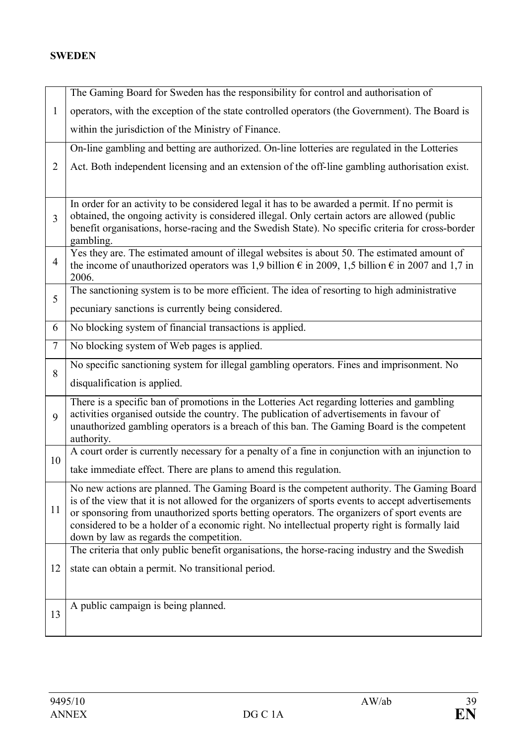### **SWEDEN**

|                | The Gaming Board for Sweden has the responsibility for control and authorisation of                                                                                                                               |
|----------------|-------------------------------------------------------------------------------------------------------------------------------------------------------------------------------------------------------------------|
| $\mathbf{1}$   | operators, with the exception of the state controlled operators (the Government). The Board is                                                                                                                    |
|                | within the jurisdiction of the Ministry of Finance.                                                                                                                                                               |
|                | On-line gambling and betting are authorized. On-line lotteries are regulated in the Lotteries                                                                                                                     |
| $\overline{2}$ | Act. Both independent licensing and an extension of the off-line gambling authorisation exist.                                                                                                                    |
|                |                                                                                                                                                                                                                   |
|                | In order for an activity to be considered legal it has to be awarded a permit. If no permit is<br>obtained, the ongoing activity is considered illegal. Only certain actors are allowed (public                   |
| 3              | benefit organisations, horse-racing and the Swedish State). No specific criteria for cross-border<br>gambling.                                                                                                    |
| 4              | Yes they are. The estimated amount of illegal websites is about 50. The estimated amount of<br>the income of unauthorized operators was 1,9 billion $\epsilon$ in 2009, 1,5 billion $\epsilon$ in 2007 and 1,7 in |
|                | 2006.                                                                                                                                                                                                             |
| 5              | The sanctioning system is to be more efficient. The idea of resorting to high administrative                                                                                                                      |
|                | pecuniary sanctions is currently being considered.                                                                                                                                                                |
| 6              | No blocking system of financial transactions is applied.                                                                                                                                                          |
| 7              | No blocking system of Web pages is applied.                                                                                                                                                                       |
| 8              | No specific sanctioning system for illegal gambling operators. Fines and imprisonment. No                                                                                                                         |
|                | disqualification is applied.                                                                                                                                                                                      |
|                | There is a specific ban of promotions in the Lotteries Act regarding lotteries and gambling                                                                                                                       |
| 9              | activities organised outside the country. The publication of advertisements in favour of<br>unauthorized gambling operators is a breach of this ban. The Gaming Board is the competent                            |
|                | authority.                                                                                                                                                                                                        |
| 10             | A court order is currently necessary for a penalty of a fine in conjunction with an injunction to                                                                                                                 |
|                | take immediate effect. There are plans to amend this regulation.                                                                                                                                                  |
|                | No new actions are planned. The Gaming Board is the competent authority. The Gaming Board<br>is of the view that it is not allowed for the organizers of sports events to accept advertisements                   |
| 11             | or sponsoring from unauthorized sports betting operators. The organizers of sport events are                                                                                                                      |
|                | considered to be a holder of a economic right. No intellectual property right is formally laid                                                                                                                    |
|                | down by law as regards the competition.<br>The criteria that only public benefit organisations, the horse-racing industry and the Swedish                                                                         |
| 12             | state can obtain a permit. No transitional period.                                                                                                                                                                |
|                |                                                                                                                                                                                                                   |
|                | A public campaign is being planned.                                                                                                                                                                               |
| 13             |                                                                                                                                                                                                                   |
|                |                                                                                                                                                                                                                   |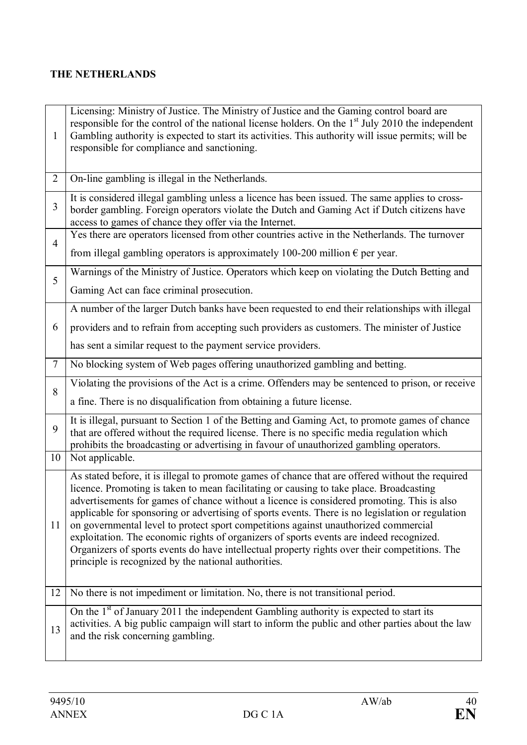## **THE NETHERLANDS**

| 1              | Licensing: Ministry of Justice. The Ministry of Justice and the Gaming control board are<br>responsible for the control of the national license holders. On the $1st$ July 2010 the independent<br>Gambling authority is expected to start its activities. This authority will issue permits; will be<br>responsible for compliance and sanctioning.                                                                                                                                                                                                                                                                                                                                                                                     |
|----------------|------------------------------------------------------------------------------------------------------------------------------------------------------------------------------------------------------------------------------------------------------------------------------------------------------------------------------------------------------------------------------------------------------------------------------------------------------------------------------------------------------------------------------------------------------------------------------------------------------------------------------------------------------------------------------------------------------------------------------------------|
| $\overline{2}$ | On-line gambling is illegal in the Netherlands.                                                                                                                                                                                                                                                                                                                                                                                                                                                                                                                                                                                                                                                                                          |
| 3              | It is considered illegal gambling unless a licence has been issued. The same applies to cross-<br>border gambling. Foreign operators violate the Dutch and Gaming Act if Dutch citizens have<br>access to games of chance they offer via the Internet.                                                                                                                                                                                                                                                                                                                                                                                                                                                                                   |
| $\overline{4}$ | Yes there are operators licensed from other countries active in the Netherlands. The turnover                                                                                                                                                                                                                                                                                                                                                                                                                                                                                                                                                                                                                                            |
|                | from illegal gambling operators is approximately 100-200 million $\epsilon$ per year.                                                                                                                                                                                                                                                                                                                                                                                                                                                                                                                                                                                                                                                    |
| 5              | Warnings of the Ministry of Justice. Operators which keep on violating the Dutch Betting and                                                                                                                                                                                                                                                                                                                                                                                                                                                                                                                                                                                                                                             |
|                | Gaming Act can face criminal prosecution.                                                                                                                                                                                                                                                                                                                                                                                                                                                                                                                                                                                                                                                                                                |
|                | A number of the larger Dutch banks have been requested to end their relationships with illegal                                                                                                                                                                                                                                                                                                                                                                                                                                                                                                                                                                                                                                           |
| 6              | providers and to refrain from accepting such providers as customers. The minister of Justice                                                                                                                                                                                                                                                                                                                                                                                                                                                                                                                                                                                                                                             |
|                | has sent a similar request to the payment service providers.                                                                                                                                                                                                                                                                                                                                                                                                                                                                                                                                                                                                                                                                             |
| $\tau$         | No blocking system of Web pages offering unauthorized gambling and betting.                                                                                                                                                                                                                                                                                                                                                                                                                                                                                                                                                                                                                                                              |
| 8              | Violating the provisions of the Act is a crime. Offenders may be sentenced to prison, or receive                                                                                                                                                                                                                                                                                                                                                                                                                                                                                                                                                                                                                                         |
|                | a fine. There is no disqualification from obtaining a future license.                                                                                                                                                                                                                                                                                                                                                                                                                                                                                                                                                                                                                                                                    |
| 9              | It is illegal, pursuant to Section 1 of the Betting and Gaming Act, to promote games of chance<br>that are offered without the required license. There is no specific media regulation which<br>prohibits the broadcasting or advertising in favour of unauthorized gambling operators.                                                                                                                                                                                                                                                                                                                                                                                                                                                  |
| 10             | Not applicable.                                                                                                                                                                                                                                                                                                                                                                                                                                                                                                                                                                                                                                                                                                                          |
| 11             | As stated before, it is illegal to promote games of chance that are offered without the required<br>licence. Promoting is taken to mean facilitating or causing to take place. Broadcasting<br>advertisements for games of chance without a licence is considered promoting. This is also<br>applicable for sponsoring or advertising of sports events. There is no legislation or regulation<br>on governmental level to protect sport competitions against unauthorized commercial<br>exploitation. The economic rights of organizers of sports events are indeed recognized.<br>Organizers of sports events do have intellectual property rights over their competitions. The<br>principle is recognized by the national authorities. |
| 12             | No there is not impediment or limitation. No, there is not transitional period.                                                                                                                                                                                                                                                                                                                                                                                                                                                                                                                                                                                                                                                          |
| 13             | On the $1st$ of January 2011 the independent Gambling authority is expected to start its<br>activities. A big public campaign will start to inform the public and other parties about the law<br>and the risk concerning gambling.                                                                                                                                                                                                                                                                                                                                                                                                                                                                                                       |